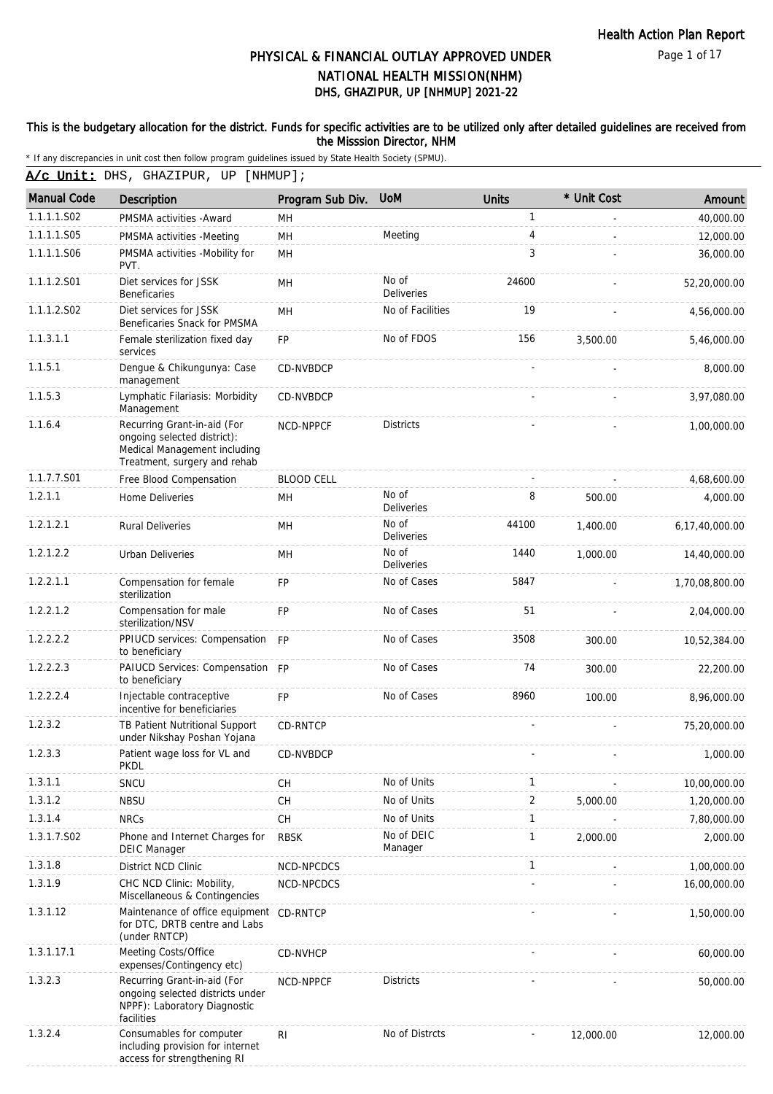Page 1 of 17

# DHS, GHAZIPUR, UP [NHMUP] 2021-22 PHYSICAL & FINANCIAL OUTLAY APPROVED UNDER NATIONAL HEALTH MISSION(NHM)

#### This is the budgetary allocation for the district. Funds for specific activities are to be utilized only after detailed guidelines are received from the Misssion Director, NHM

including provision for internet access for strengthening RI

|                    | * If any discrepancies in unit cost then follow program guidelines issued by State Health Society (SPMU).                  |                   |                            |              |             |                |
|--------------------|----------------------------------------------------------------------------------------------------------------------------|-------------------|----------------------------|--------------|-------------|----------------|
|                    | A/c Unit: DHS, GHAZIPUR, UP [NHMUP];                                                                                       |                   |                            |              |             |                |
| <b>Manual Code</b> | Description                                                                                                                | Program Sub Div.  | <b>UoM</b>                 | <b>Units</b> | * Unit Cost | Amount         |
| 1.1.1.1.S02        | PMSMA activities - Award                                                                                                   | MН                |                            | 1            |             | 40,000.00      |
| 1.1.1.1.S05        | PMSMA activities -Meeting                                                                                                  | MН                | Meeting                    | 4            |             | 12,000.00      |
| 1.1.1.1.S06        | PMSMA activities -Mobility for<br>PVT.                                                                                     | MH                |                            | 3            |             | 36,000.00      |
| 1.1.1.2.S01        | Diet services for JSSK<br><b>Beneficaries</b>                                                                              | MН                | No of<br>Deliveries        | 24600        |             | 52,20,000.00   |
| 1.1.1.2.S02        | Diet services for JSSK<br>Beneficaries Snack for PMSMA                                                                     | MH                | No of Facilities           | 19           |             | 4,56,000.00    |
| 1.1.3.1.1          | Female sterilization fixed day<br>services                                                                                 | <b>FP</b>         | No of FDOS                 | 156          | 3,500.00    | 5,46,000.00    |
| 1.1.5.1            | Dengue & Chikungunya: Case<br>management                                                                                   | CD-NVBDCP         |                            |              |             | 8,000.00       |
| 1.1.5.3            | Lymphatic Filariasis: Morbidity<br>Management                                                                              | CD-NVBDCP         |                            |              |             | 3,97,080.00    |
| 1.1.6.4            | Recurring Grant-in-aid (For<br>ongoing selected district):<br>Medical Management including<br>Treatment, surgery and rehab | NCD-NPPCF         | <b>Districts</b>           |              |             | 1,00,000.00    |
| 1.1.7.7.S01        | Free Blood Compensation                                                                                                    | <b>BLOOD CELL</b> |                            |              |             | 4,68,600.00    |
| 1.2.1.1            | Home Deliveries                                                                                                            | MН                | No of<br>Deliveries        | 8            | 500.00      | 4,000.00       |
| 1.2.1.2.1          | <b>Rural Deliveries</b>                                                                                                    | MH                | No of<br><b>Deliveries</b> | 44100        | 1,400.00    | 6,17,40,000.00 |
| 1.2.1.2.2          | <b>Urban Deliveries</b>                                                                                                    | MН                | No of<br><b>Deliveries</b> | 1440         | 1,000.00    | 14,40,000.00   |
| 1.2.2.1.1          | Compensation for female<br>sterilization                                                                                   | <b>FP</b>         | No of Cases                | 5847         |             | 1,70,08,800.00 |
| 1.2.2.1.2          | Compensation for male<br>sterilization/NSV                                                                                 | <b>FP</b>         | No of Cases                | 51           |             | 2,04,000.00    |
| 1.2.2.2.2          | PPIUCD services: Compensation FP<br>to beneficiary                                                                         |                   | No of Cases                | 3508         | 300.00      | 10,52,384.00   |
| 1.2.2.2.3          | PAIUCD Services: Compensation FP<br>to beneficiary                                                                         |                   | No of Cases                | 74           | 300.00      | 22,200.00      |
| 1.2.2.2.4          | Injectable contraceptive<br>incentive for beneficiaries                                                                    | <b>FP</b>         | No of Cases                | 8960         | 100.00      | 8,96,000.00    |
| 1.2.3.2            | TB Patient Nutritional Support<br>under Nikshay Poshan Yojana                                                              | CD-RNTCP          |                            |              |             | 75,20,000.00   |
| 1.2.3.3            | Patient wage loss for VL and<br><b>PKDL</b>                                                                                | CD-NVBDCP         |                            |              |             | 1,000.00       |
| 1.3.1.1            | SNCU                                                                                                                       | CН                | No of Units                | 1            |             | 10,00,000.00   |
| 1.3.1.2            | <b>NBSU</b>                                                                                                                | <b>CH</b>         | No of Units                | 2            | 5,000.00    | 1,20,000.00    |
| 1.3.1.4            | <b>NRCs</b>                                                                                                                | CH                | No of Units                | $\mathbf{1}$ |             | 7,80,000.00    |
| 1.3.1.7.S02        | Phone and Internet Charges for<br><b>DEIC Manager</b>                                                                      | <b>RBSK</b>       | No of DEIC<br>Manager      | 1            | 2.000.00    | 2,000.00       |
| 1.3.1.8            | District NCD Clinic                                                                                                        | NCD-NPCDCS        |                            | 1            |             | 1,00,000.00    |
| 1.3.1.9            | CHC NCD Clinic: Mobility,<br>Miscellaneous & Contingencies                                                                 | NCD-NPCDCS        |                            |              |             | 16,00,000.00   |
| 1.3.1.12           | Maintenance of office equipment<br>for DTC, DRTB centre and Labs<br>(under RNTCP)                                          | CD-RNTCP          |                            |              |             | 1,50,000.00    |
| 1.3.1.17.1         | Meeting Costs/Office<br>expenses/Contingency etc)                                                                          | <b>CD-NVHCP</b>   |                            |              |             | 60,000.00      |
| 1.3.2.3            | Recurring Grant-in-aid (For<br>ongoing selected districts under<br>NPPF): Laboratory Diagnostic<br>facilities              | NCD-NPPCF         | <b>Districts</b>           |              |             | 50,000.00      |
| 1.3.2.4            | Consumables for computer                                                                                                   | R <sub>1</sub>    | No of Distrcts             |              | 12,000.00   | 12,000.00      |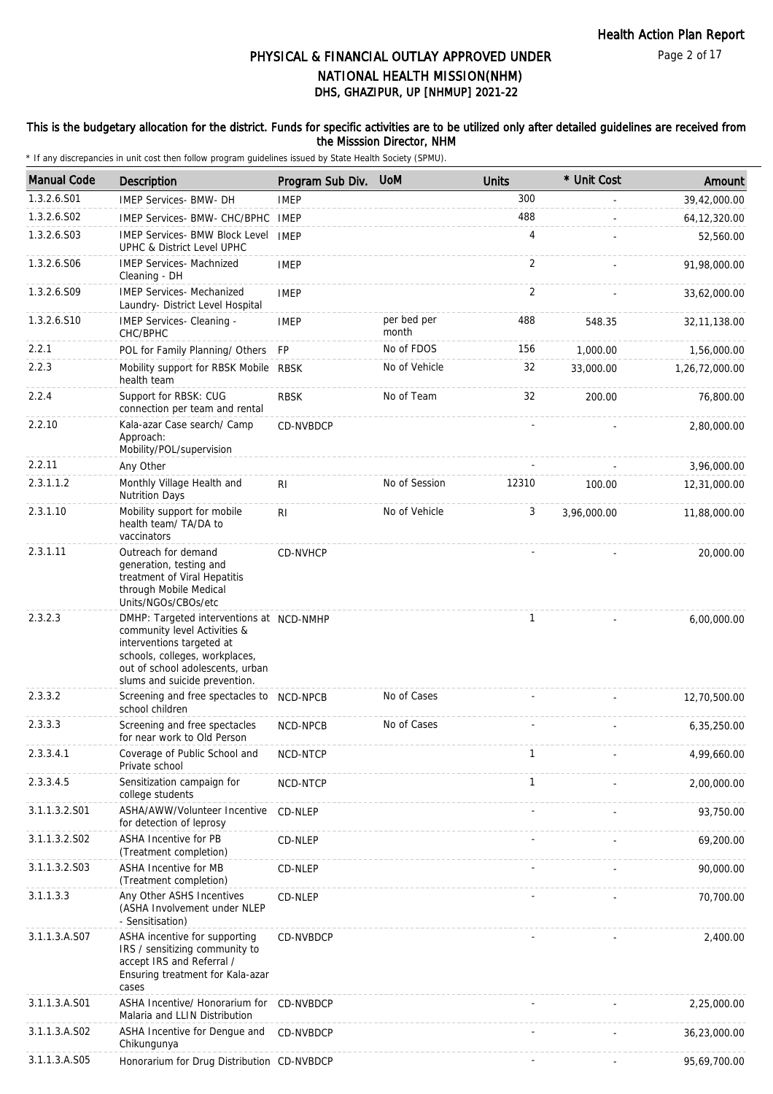### This is the budgetary allocation for the district. Funds for specific activities are to be utilized only after detailed guidelines are received from the Misssion Director, NHM

| <b>Manual Code</b> | <b>Description</b>                                                                                                                                                                                           | Program Sub Div. | <b>UoM</b>           | <b>Units</b>   | * Unit Cost | Amount         |
|--------------------|--------------------------------------------------------------------------------------------------------------------------------------------------------------------------------------------------------------|------------------|----------------------|----------------|-------------|----------------|
| 1.3.2.6.S01        | IMEP Services- BMW- DH                                                                                                                                                                                       | <b>IMEP</b>      |                      | 300            |             | 39,42,000.00   |
| 1.3.2.6.S02        | IMEP Services- BMW- CHC/BPHC                                                                                                                                                                                 | <b>IMEP</b>      |                      | 488            |             | 64, 12, 320.00 |
| 1.3.2.6.S03        | <b>IMEP Services- BMW Block Level</b><br><b>UPHC &amp; District Level UPHC</b>                                                                                                                               | <b>IMEP</b>      |                      | 4              |             | 52,560.00      |
| 1.3.2.6.S06        | <b>IMEP Services- Machnized</b><br>Cleaning - DH                                                                                                                                                             | <b>IMEP</b>      |                      | 2              |             | 91,98,000.00   |
| 1.3.2.6.S09        | <b>IMEP Services- Mechanized</b><br>Laundry- District Level Hospital                                                                                                                                         | <b>IMEP</b>      |                      | $\overline{2}$ |             | 33,62,000.00   |
| 1.3.2.6.S10        | IMEP Services- Cleaning -<br>CHC/BPHC                                                                                                                                                                        | <b>IMEP</b>      | per bed per<br>month | 488            | 548.35      | 32, 11, 138.00 |
| 2.2.1              | POL for Family Planning/ Others                                                                                                                                                                              | FP               | No of FDOS           | 156            | 1,000.00    | 1,56,000.00    |
| 2.2.3              | Mobility support for RBSK Mobile<br>health team                                                                                                                                                              | <b>RBSK</b>      | No of Vehicle        | 32             | 33,000.00   | 1,26,72,000.00 |
| 2.2.4              | Support for RBSK: CUG<br>connection per team and rental                                                                                                                                                      | <b>RBSK</b>      | No of Team           | 32             | 200.00      | 76,800.00      |
| 2.2.10             | Kala-azar Case search/ Camp<br>Approach:<br>Mobility/POL/supervision                                                                                                                                         | CD-NVBDCP        |                      |                |             | 2,80,000.00    |
| 2.2.11             | Any Other                                                                                                                                                                                                    |                  |                      |                |             | 3,96,000.00    |
| 2.3.1.1.2          | Monthly Village Health and<br><b>Nutrition Days</b>                                                                                                                                                          | RI               | No of Session        | 12310          | 100.00      | 12,31,000.00   |
| 2.3.1.10           | Mobility support for mobile<br>health team/ TA/DA to<br>vaccinators                                                                                                                                          | R <sub>1</sub>   | No of Vehicle        | 3              | 3,96,000.00 | 11,88,000.00   |
| 2.3.1.11           | Outreach for demand<br>generation, testing and<br>treatment of Viral Hepatitis<br>through Mobile Medical<br>Units/NGOs/CBOs/etc                                                                              | CD-NVHCP         |                      |                |             | 20,000.00      |
| 2.3.2.3            | DMHP: Targeted interventions at NCD-NMHP<br>community level Activities &<br>interventions targeted at<br>schools, colleges, workplaces,<br>out of school adolescents, urban<br>slums and suicide prevention. |                  |                      | $\mathbf{1}$   |             | 6,00,000.00    |
| 2.3.3.2            | Screening and free spectacles to NCD-NPCB<br>school children                                                                                                                                                 |                  | No of Cases          |                |             | 12,70,500.00   |
| 2.3.3.3            | Screening and free spectacles<br>for near work to Old Person                                                                                                                                                 | NCD-NPCB         | No of Cases          |                |             | 6,35,250.00    |
| 2.3.3.4.1          | Coverage of Public School and<br>Private school                                                                                                                                                              | NCD-NTCP         |                      | $\mathbf{1}$   |             | 4,99,660.00    |
| 2.3.3.4.5          | Sensitization campaign for<br>college students                                                                                                                                                               | NCD-NTCP         |                      | $\mathbf{1}$   |             | 2,00,000.00    |
| 3.1.1.3.2.S01      | ASHA/AWW/Volunteer Incentive<br>for detection of leprosy                                                                                                                                                     | CD-NLEP          |                      |                |             | 93,750.00      |
| 3.1.1.3.2.S02      | ASHA Incentive for PB<br>(Treatment completion)                                                                                                                                                              | CD-NLEP          |                      |                |             | 69,200.00      |
| 3.1.1.3.2.S03      | ASHA Incentive for MB<br>(Treatment completion)                                                                                                                                                              | CD-NLEP          |                      |                |             | 90,000.00      |
| 3.1.1.3.3          | Any Other ASHS Incentives<br>(ASHA Involvement under NLEP<br>- Sensitisation)                                                                                                                                | CD-NLEP          |                      |                |             | 70,700.00      |
| 3.1.1.3.A.S07      | ASHA incentive for supporting<br>IRS / sensitizing community to<br>accept IRS and Referral /<br>Ensuring treatment for Kala-azar<br>cases                                                                    | CD-NVBDCP        |                      |                |             | 2,400.00       |
| 3.1.1.3.A.S01      | ASHA Incentive/ Honorarium for<br>Malaria and LLIN Distribution                                                                                                                                              | CD-NVBDCP        |                      |                |             | 2,25,000.00    |
| 3.1.1.3.A.S02      | ASHA Incentive for Dengue and<br>Chikungunya                                                                                                                                                                 | CD-NVBDCP        |                      |                |             | 36,23,000.00   |
| 3.1.1.3.A.S05      | Honorarium for Drug Distribution CD-NVBDCP                                                                                                                                                                   |                  |                      | $\sim$         |             | 95,69,700.00   |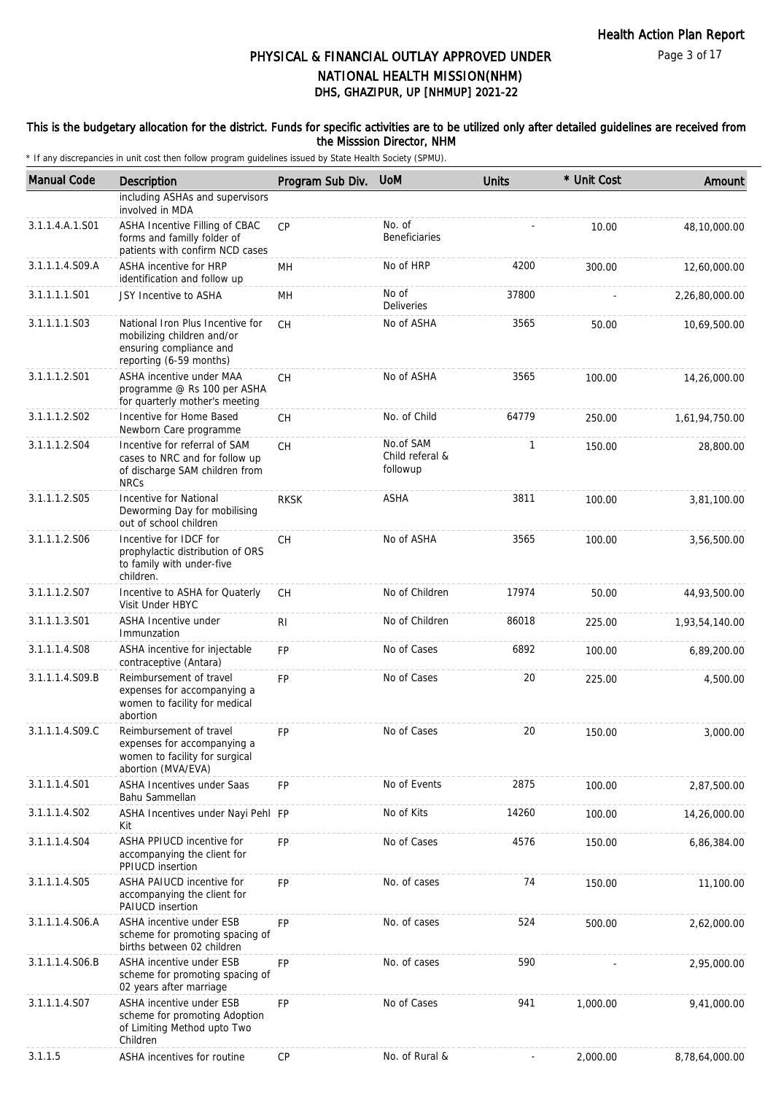### This is the budgetary allocation for the district. Funds for specific activities are to be utilized only after detailed guidelines are received from the Misssion Director, NHM

| <b>Manual Code</b> | Description                                                                                                          | Program Sub Div. | <b>UoM</b>                               | <b>Units</b> | * Unit Cost | Amount         |
|--------------------|----------------------------------------------------------------------------------------------------------------------|------------------|------------------------------------------|--------------|-------------|----------------|
|                    | including ASHAs and supervisors<br>involved in MDA                                                                   |                  |                                          |              |             |                |
| 3.1.1.4.A.1.S01    | ASHA Incentive Filling of CBAC<br>forms and familly folder of<br>patients with confirm NCD cases                     | <b>CP</b>        | No. of<br><b>Beneficiaries</b>           |              | 10.00       | 48,10,000.00   |
| 3.1.1.1.4.S09.A    | ASHA incentive for HRP<br>identification and follow up                                                               | MН               | No of HRP                                | 4200         | 300.00      | 12,60,000.00   |
| 3.1.1.1.1.S01      | JSY Incentive to ASHA                                                                                                | MH               | No of<br>Deliveries                      | 37800        |             | 2,26,80,000.00 |
| 3.1.1.1.1.S03      | National Iron Plus Incentive for<br>mobilizing children and/or<br>ensuring compliance and<br>reporting (6-59 months) | CH               | No of ASHA                               | 3565         | 50.00       | 10,69,500.00   |
| 3.1.1.1.2.S01      | ASHA incentive under MAA<br>programme @ Rs 100 per ASHA<br>for quarterly mother's meeting                            | <b>CH</b>        | No of ASHA                               | 3565         | 100.00      | 14,26,000.00   |
| 3.1.1.1.2.S02      | Incentive for Home Based<br>Newborn Care programme                                                                   | CH               | No. of Child                             | 64779        | 250.00      | 1,61,94,750.00 |
| 3.1.1.1.2.S04      | Incentive for referral of SAM<br>cases to NRC and for follow up<br>of discharge SAM children from<br><b>NRCs</b>     | CH               | No.of SAM<br>Child referal &<br>followup | 1            | 150.00      | 28,800.00      |
| 3.1.1.1.2.S05      | Incentive for National<br>Deworming Day for mobilising<br>out of school children                                     | <b>RKSK</b>      | ASHA                                     | 3811         | 100.00      | 3,81,100.00    |
| 3.1.1.1.2.S06      | Incentive for IDCF for<br>prophylactic distribution of ORS<br>to family with under-five<br>children.                 | CH               | No of ASHA                               | 3565         | 100.00      | 3,56,500.00    |
| 3.1.1.1.2.S07      | Incentive to ASHA for Quaterly<br>Visit Under HBYC                                                                   | CH               | No of Children                           | 17974        | 50.00       | 44,93,500.00   |
| 3.1.1.1.3.S01      | ASHA Incentive under<br>Immunzation                                                                                  | R <sub>1</sub>   | No of Children                           | 86018        | 225.00      | 1,93,54,140.00 |
| 3.1.1.1.4.S08      | ASHA incentive for injectable<br>contraceptive (Antara)                                                              | <b>FP</b>        | No of Cases                              | 6892         | 100.00      | 6,89,200.00    |
| 3.1.1.1.4.S09.B    | Reimbursement of travel<br>expenses for accompanying a<br>women to facility for medical<br>abortion                  | <b>FP</b>        | No of Cases                              | 20           | 225.00      | 4,500.00       |
| 3.1.1.1.4.S09.C    | Reimbursement of travel<br>expenses for accompanying a<br>women to facility for surgical<br>abortion (MVA/EVA)       | <b>FP</b>        | No of Cases                              | 20           | 150.00      | 3,000.00       |
| 3.1.1.1.4.S01      | <b>ASHA Incentives under Saas</b><br>Bahu Sammellan                                                                  | <b>FP</b>        | No of Events                             | 2875         | 100.00      | 2,87,500.00    |
| 3.1.1.1.4.S02      | ASHA Incentives under Nayi Pehl FP<br>Kit                                                                            |                  | No of Kits                               | 14260        | 100.00      | 14,26,000.00   |
| 3.1.1.1.4.S04      | ASHA PPIUCD incentive for<br>accompanying the client for<br><b>PPIUCD</b> insertion                                  | FP               | No of Cases                              | 4576         | 150.00      | 6,86,384.00    |
| 3.1.1.1.4.S05      | ASHA PAIUCD incentive for<br>accompanying the client for<br>PAIUCD insertion                                         | FP               | No. of cases                             | 74           | 150.00      | 11,100.00      |
| 3.1.1.1.4.S06.A    | ASHA incentive under ESB<br>scheme for promoting spacing of<br>births between 02 children                            | <b>FP</b>        | No. of cases                             | 524          | 500.00      | 2,62,000.00    |
| 3.1.1.1.4.S06.B    | ASHA incentive under ESB<br>scheme for promoting spacing of<br>02 years after marriage                               | <b>FP</b>        | No. of cases                             | 590          |             | 2,95,000.00    |
| 3.1.1.1.4.S07      | ASHA incentive under ESB<br>scheme for promoting Adoption<br>of Limiting Method upto Two<br>Children                 | <b>FP</b>        | No of Cases                              | 941          | 1,000.00    | 9,41,000.00    |
| 3.1.1.5            | ASHA incentives for routine                                                                                          | CP               | No. of Rural &                           |              | 2,000.00    | 8,78,64,000.00 |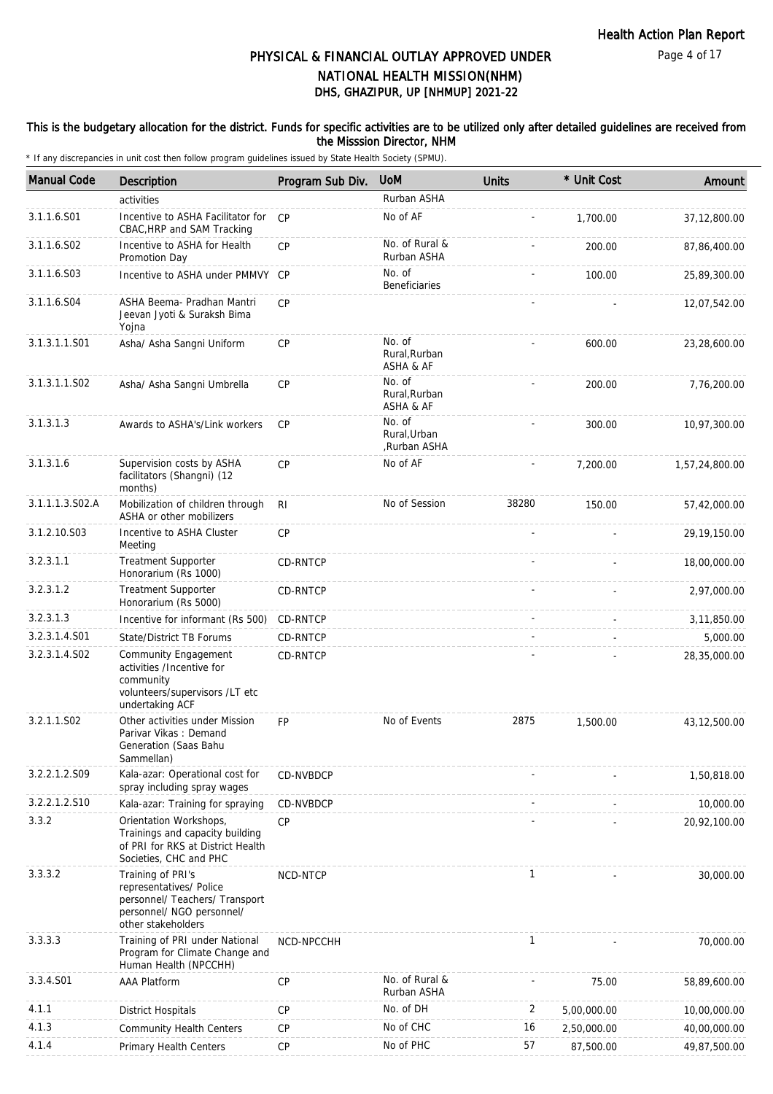### This is the budgetary allocation for the district. Funds for specific activities are to be utilized only after detailed guidelines are received from the Misssion Director, NHM

| <b>Manual Code</b>        | <b>Description</b>                                                                                                                | Program Sub Div. | <b>UoM</b>                             | <b>Units</b> | * Unit Cost | Amount         |
|---------------------------|-----------------------------------------------------------------------------------------------------------------------------------|------------------|----------------------------------------|--------------|-------------|----------------|
|                           | activities                                                                                                                        |                  | Rurban ASHA                            |              |             |                |
| 3.1.1.6.S01               | Incentive to ASHA Facilitator for<br>CBAC, HRP and SAM Tracking                                                                   | CP               | No of AF                               |              | 1,700.00    | 37,12,800.00   |
| 3.1.1.6.S02               | Incentive to ASHA for Health<br>Promotion Day                                                                                     | CP               | No. of Rural &<br>Rurban ASHA          |              | 200.00      | 87,86,400.00   |
| 3.1.1.6.S03               | Incentive to ASHA under PMMVY CP                                                                                                  |                  | No. of<br>Beneficiaries                |              | 100.00      | 25,89,300.00   |
| 3.1.1.6.S04               | ASHA Beema- Pradhan Mantri<br>Jeevan Jyoti & Suraksh Bima<br>Yojna                                                                | CP               |                                        |              |             | 12,07,542.00   |
| 3.1.3.1.1.S01             | Asha/ Asha Sangni Uniform                                                                                                         | CP               | No. of<br>Rural, Rurban<br>ASHA & AF   |              | 600.00      | 23,28,600.00   |
| 3.1.3.1.1.SO <sub>2</sub> | Asha/ Asha Sangni Umbrella                                                                                                        | <b>CP</b>        | No. of<br>Rural, Rurban<br>ASHA & AF   |              | 200.00      | 7,76,200.00    |
| 3.1.3.1.3                 | Awards to ASHA's/Link workers                                                                                                     | <b>CP</b>        | No. of<br>Rural, Urban<br>,Rurban ASHA |              | 300.00      | 10,97,300.00   |
| 3.1.3.1.6                 | Supervision costs by ASHA<br>facilitators (Shangni) (12<br>months)                                                                | CP               | No of AF                               |              | 7,200.00    | 1,57,24,800.00 |
| 3.1.1.1.3.S02.A           | Mobilization of children through<br>ASHA or other mobilizers                                                                      | R <sub>l</sub>   | No of Session                          | 38280        | 150.00      | 57,42,000.00   |
| 3.1.2.10.S03              | Incentive to ASHA Cluster<br>Meeting                                                                                              | <b>CP</b>        |                                        |              |             | 29,19,150.00   |
| 3.2.3.1.1                 | <b>Treatment Supporter</b><br>Honorarium (Rs 1000)                                                                                | CD-RNTCP         |                                        |              |             | 18,00,000.00   |
| 3.2.3.1.2                 | Treatment Supporter<br>Honorarium (Rs 5000)                                                                                       | CD-RNTCP         |                                        |              |             | 2,97,000.00    |
| 3.2.3.1.3                 | Incentive for informant (Rs 500)                                                                                                  | CD-RNTCP         |                                        |              | $\sim$      | 3,11,850.00    |
| 3.2.3.1.4.S01             | State/District TB Forums                                                                                                          | CD-RNTCP         |                                        |              |             | 5,000.00       |
| 3.2.3.1.4.S02             | <b>Community Engagement</b><br>activities /Incentive for<br>community<br>volunteers/supervisors /LT etc<br>undertaking ACF        | CD-RNTCP         |                                        |              |             | 28,35,000.00   |
| 3.2.1.1.S02               | Other activities under Mission<br>Parivar Vikas: Demand<br>Generation (Saas Bahu<br>Sammellan)                                    | <b>FP</b>        | No of Events                           | 2875         | 1,500.00    | 43,12,500.00   |
| 3.2.2.1.2.S09             | Kala-azar: Operational cost for<br>spray including spray wages                                                                    | CD-NVBDCP        |                                        |              |             | 1,50,818.00    |
| 3.2.2.1.2.S10             | Kala-azar: Training for spraying                                                                                                  | CD-NVBDCP        |                                        |              |             | 10,000.00      |
| 3.3.2                     | Orientation Workshops,<br>Trainings and capacity building<br>of PRI for RKS at District Health<br>Societies, CHC and PHC          | <b>CP</b>        |                                        |              |             | 20,92,100.00   |
| 3.3.3.2                   | Training of PRI's<br>representatives/ Police<br>personnel/ Teachers/ Transport<br>personnel/ NGO personnel/<br>other stakeholders | NCD-NTCP         |                                        | 1            |             | 30,000.00      |
| 3.3.3.3                   | Training of PRI under National<br>Program for Climate Change and<br>Human Health (NPCCHH)                                         | NCD-NPCCHH       |                                        | 1            |             | 70,000.00      |
| 3.3.4.S01                 | <b>AAA Platform</b>                                                                                                               | <b>CP</b>        | No. of Rural &<br>Rurban ASHA          |              | 75.00       | 58,89,600.00   |
| 4.1.1                     | <b>District Hospitals</b>                                                                                                         | <b>CP</b>        | No. of DH                              | 2            | 5,00,000.00 | 10,00,000.00   |
| 4.1.3                     | <b>Community Health Centers</b>                                                                                                   | <b>CP</b>        | No of CHC                              | 16           | 2,50,000.00 | 40,00,000.00   |
| 4.1.4                     | Primary Health Centers                                                                                                            | <b>CP</b>        | No of PHC                              | 57           | 87,500.00   | 49,87,500.00   |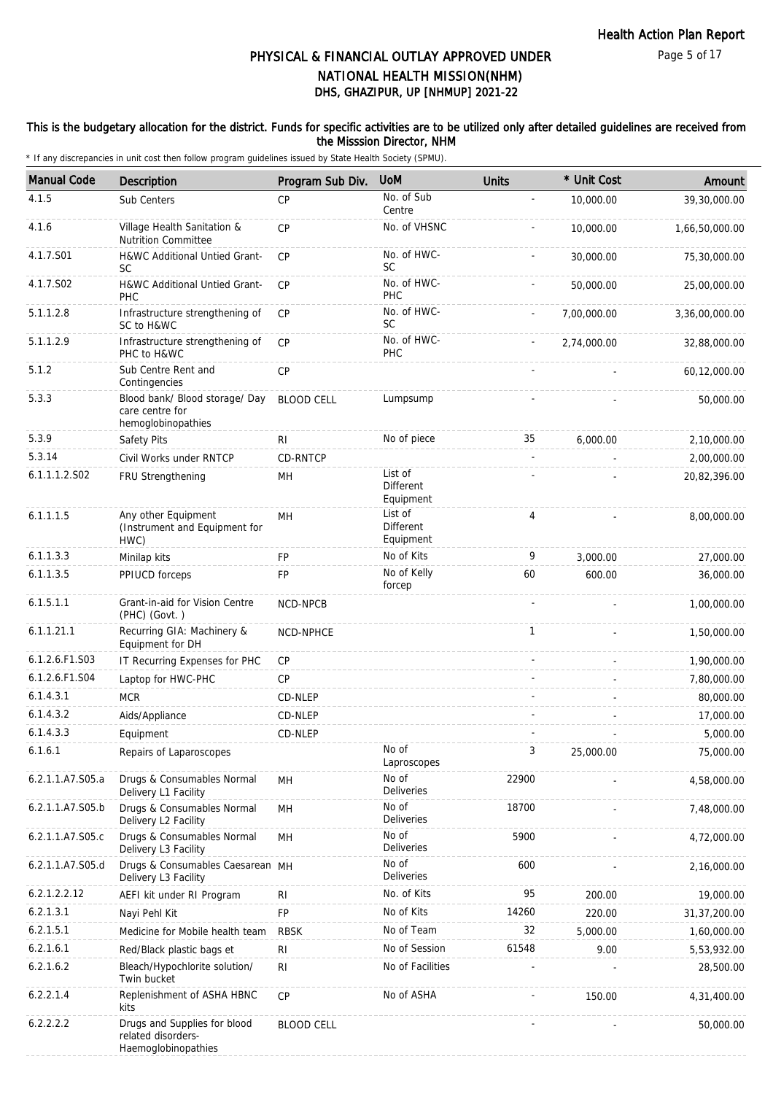### This is the budgetary allocation for the district. Funds for specific activities are to be utilized only after detailed guidelines are received from the Misssion Director, NHM

| <b>Manual Code</b> | Description                                                               | Program Sub Div.  | <b>UoM</b>                               | <b>Units</b> | * Unit Cost | Amount         |
|--------------------|---------------------------------------------------------------------------|-------------------|------------------------------------------|--------------|-------------|----------------|
| 4.1.5              | Sub Centers                                                               | <b>CP</b>         | No. of Sub<br>Centre                     |              | 10,000.00   | 39,30,000.00   |
| 4.1.6              | Village Health Sanitation &<br><b>Nutrition Committee</b>                 | CP                | No. of VHSNC                             |              | 10,000.00   | 1,66,50,000.00 |
| 4.1.7.S01          | <b>H&amp;WC Additional Untied Grant-</b><br><b>SC</b>                     | CP                | No. of HWC-<br><b>SC</b>                 |              | 30,000.00   | 75,30,000.00   |
| 4.1.7.S02          | H&WC Additional Untied Grant-<br><b>PHC</b>                               | <b>CP</b>         | No. of HWC-<br>PHC                       |              | 50,000.00   | 25,00,000.00   |
| 5.1.1.2.8          | Infrastructure strengthening of<br>SC to H&WC                             | CP                | No. of HWC-<br>SC                        |              | 7,00,000.00 | 3,36,00,000.00 |
| 5.1.1.2.9          | Infrastructure strengthening of<br>PHC to H&WC                            | CP                | No. of HWC-<br>PHC                       |              | 2,74,000.00 | 32,88,000.00   |
| 5.1.2              | Sub Centre Rent and<br>Contingencies                                      | CP                |                                          |              |             | 60,12,000.00   |
| 5.3.3              | Blood bank/ Blood storage/ Day<br>care centre for<br>hemoglobinopathies   | <b>BLOOD CELL</b> | Lumpsump                                 |              |             | 50,000.00      |
| 5.3.9              | Safety Pits                                                               | RI.               | No of piece                              | 35           | 6,000.00    | 2,10,000.00    |
| 5.3.14             | Civil Works under RNTCP                                                   | CD-RNTCP          |                                          |              |             | 2,00,000.00    |
| 6.1.1.1.2.S02      | FRU Strengthening                                                         | MН                | List of<br><b>Different</b><br>Equipment |              |             | 20,82,396.00   |
| 6.1.1.1.5          | Any other Equipment<br>(Instrument and Equipment for<br>HWC)              | MH                | List of<br>Different<br>Equipment        | 4            |             | 8,00,000.00    |
| 6.1.1.3.3          | Minilap kits                                                              | FP                | No of Kits                               | 9            | 3,000.00    | 27,000.00      |
| 6.1.1.3.5          | PPIUCD forceps                                                            | FP                | No of Kelly<br>forcep                    | 60           | 600.00      | 36,000.00      |
| 6.1.5.1.1          | Grant-in-aid for Vision Centre<br>(PHC) (Govt.)                           | NCD-NPCB          |                                          |              |             | 1,00,000.00    |
| 6.1.1.21.1         | Recurring GIA: Machinery &<br>Equipment for DH                            | NCD-NPHCE         |                                          | $\mathbf{1}$ |             | 1,50,000.00    |
| 6.1.2.6.F1.S03     | IT Recurring Expenses for PHC                                             | <b>CP</b>         |                                          |              |             | 1,90,000.00    |
| 6.1.2.6.F1.S04     | Laptop for HWC-PHC                                                        | <b>CP</b>         |                                          |              |             | 7,80,000.00    |
| 6.1.4.3.1          | <b>MCR</b>                                                                | CD-NLEP           |                                          |              |             | 80,000.00      |
| 6.1.4.3.2          | Aids/Appliance                                                            | CD-NLEP           |                                          |              |             | 17,000.00      |
| 6.1.4.3.3          | Equipment                                                                 | CD-NLEP           |                                          |              |             | 5,000.00       |
| 6.1.6.1            | Repairs of Laparoscopes                                                   |                   | No of<br>Laproscopes                     | 3            | 25,000.00   | 75,000.00      |
| 6.2.1.1.A7.S05.a   | Drugs & Consumables Normal<br>Delivery L1 Facility                        | MН                | No of<br>Deliveries                      | 22900        |             | 4,58,000.00    |
| 6.2.1.1.A7.S05.b   | Drugs & Consumables Normal<br>Delivery L2 Facility                        | MН                | No of<br><b>Deliveries</b>               | 18700        |             | 7,48,000.00    |
| 6.2.1.1.A7.S05.c   | Drugs & Consumables Normal<br>Delivery L3 Facility                        | MH                | No of<br>Deliveries                      | 5900         |             | 4,72,000.00    |
| 6.2.1.1.A7.S05.d   | Drugs & Consumables Caesarean MH<br>Delivery L3 Facility                  |                   | No of<br><b>Deliveries</b>               | 600          |             | 2,16,000.00    |
| 6.2.1.2.2.12       | AEFI kit under RI Program                                                 | <b>RI</b>         | No. of Kits                              | 95           | 200.00      | 19,000.00      |
| 6.2.1.3.1          | Nayi Pehl Kit                                                             | <b>FP</b>         | No of Kits                               | 14260        | 220.00      | 31,37,200.00   |
| 6.2.1.5.1          | Medicine for Mobile health team                                           | <b>RBSK</b>       | No of Team                               | 32           | 5,000.00    | 1,60,000.00    |
| 6.2.1.6.1          | Red/Black plastic bags et                                                 | <b>RI</b>         | No of Session                            | 61548        | 9.00        | 5,53,932.00    |
| 6.2.1.6.2          | Bleach/Hypochlorite solution/<br>Twin bucket                              | <b>RI</b>         | No of Facilities                         |              |             | 28,500.00      |
| 6.2.2.1.4          | Replenishment of ASHA HBNC<br>kits                                        | CP                | No of ASHA                               |              | 150.00      | 4,31,400.00    |
| 6.2.2.2.2          | Drugs and Supplies for blood<br>related disorders-<br>Haemoglobinopathies | <b>BLOOD CELL</b> |                                          |              |             | 50,000.00      |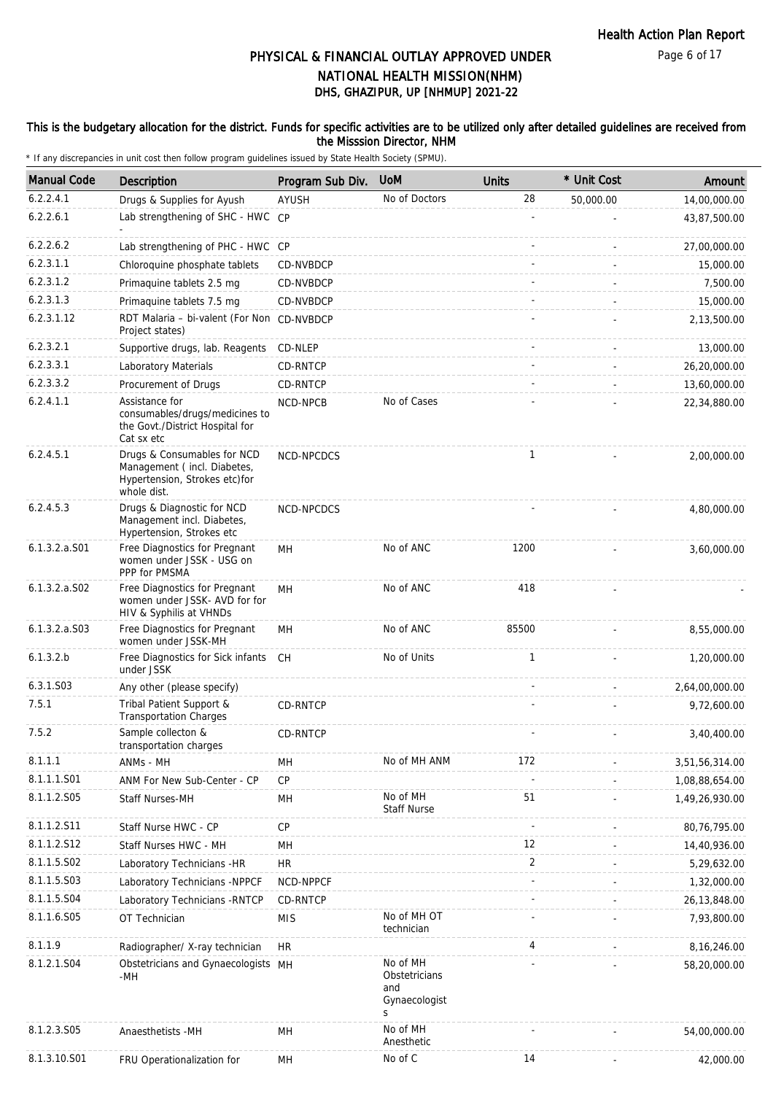### This is the budgetary allocation for the district. Funds for specific activities are to be utilized only after detailed guidelines are received from the Misssion Director, NHM

| <b>Manual Code</b> | <b>Description</b>                                                                                         | Program Sub Div. | <b>UoM</b>                                             | <b>Units</b> | * Unit Cost | Amount         |
|--------------------|------------------------------------------------------------------------------------------------------------|------------------|--------------------------------------------------------|--------------|-------------|----------------|
| 6.2.2.4.1          | Drugs & Supplies for Ayush                                                                                 | AYUSH            | No of Doctors                                          | 28           | 50,000.00   | 14,00,000.00   |
| 6.2.2.6.1          | Lab strengthening of SHC - HWC CP                                                                          |                  |                                                        |              |             | 43,87,500.00   |
| 6.2.2.6.2          | Lab strengthening of PHC - HWC CP                                                                          |                  |                                                        |              |             | 27,00,000.00   |
| 6.2.3.1.1          | Chloroquine phosphate tablets                                                                              | CD-NVBDCP        |                                                        |              |             | 15,000.00      |
| 6.2.3.1.2          | Primaquine tablets 2.5 mg                                                                                  | CD-NVBDCP        |                                                        |              |             | 7,500.00       |
| 6.2.3.1.3          | Primaquine tablets 7.5 mg                                                                                  | CD-NVBDCP        |                                                        |              |             | 15,000.00      |
| 6.2.3.1.12         | RDT Malaria - bi-valent (For Non CD-NVBDCP<br>Project states)                                              |                  |                                                        |              |             | 2,13,500.00    |
| 6.2.3.2.1          | Supportive drugs, lab. Reagents                                                                            | CD-NLEP          |                                                        |              |             | 13,000.00      |
| 6.2.3.3.1          | Laboratory Materials                                                                                       | CD-RNTCP         |                                                        |              |             | 26,20,000.00   |
| 6.2.3.3.2          | Procurement of Drugs                                                                                       | CD-RNTCP         |                                                        |              |             | 13,60,000.00   |
| 6.2.4.1.1          | Assistance for<br>consumables/drugs/medicines to<br>the Govt./District Hospital for<br>Cat sx etc          | NCD-NPCB         | No of Cases                                            |              |             | 22,34,880.00   |
| 6.2.4.5.1          | Drugs & Consumables for NCD<br>Management (incl. Diabetes,<br>Hypertension, Strokes etc)for<br>whole dist. | NCD-NPCDCS       |                                                        | $\mathbf{1}$ |             | 2,00,000.00    |
| 6.2.4.5.3          | Drugs & Diagnostic for NCD<br>Management incl. Diabetes,<br>Hypertension, Strokes etc                      | NCD-NPCDCS       |                                                        |              |             | 4,80,000.00    |
| 6.1.3.2.a.S01      | Free Diagnostics for Pregnant<br>women under JSSK - USG on<br>PPP for PMSMA                                | MН               | No of ANC                                              | 1200         |             | 3,60,000.00    |
| $6.1.3.2.a.$ SO2   | Free Diagnostics for Pregnant<br>women under JSSK- AVD for for<br>HIV & Syphilis at VHNDs                  | MH               | No of ANC                                              | 418          |             |                |
| 6.1.3.2.a.S03      | Free Diagnostics for Pregnant<br>women under JSSK-MH                                                       | MH               | No of ANC                                              | 85500        |             | 8,55,000.00    |
| 6.1.3.2.b          | Free Diagnostics for Sick infants<br>under JSSK                                                            | CH               | No of Units                                            | $\mathbf{1}$ |             | 1,20,000.00    |
| 6.3.1.S03          | Any other (please specify)                                                                                 |                  |                                                        |              |             | 2,64,00,000.00 |
| 7.5.1              | Tribal Patient Support &<br><b>Transportation Charges</b>                                                  | CD-RNTCP         |                                                        |              |             | 9,72,600.00    |
| 7.5.2              | Sample collecton &<br>transportation charges                                                               | CD-RNTCP         |                                                        |              |             | 3,40,400.00    |
| 8.1.1.1            | ANMs - MH                                                                                                  | MH               | No of MH ANM                                           | 172          |             | 3,51,56,314.00 |
| 8.1.1.1.S01        | ANM For New Sub-Center - CP                                                                                | <b>CP</b>        |                                                        |              |             | 1,08,88,654.00 |
| 8.1.1.2.S05        | Staff Nurses-MH                                                                                            | MH               | No of MH<br><b>Staff Nurse</b>                         | 51           |             | 1,49,26,930.00 |
| 8.1.1.2.S11        | Staff Nurse HWC - CP                                                                                       | <b>CP</b>        |                                                        |              |             | 80,76,795.00   |
| 8.1.1.2.S12        | Staff Nurses HWC - MH                                                                                      | MH               |                                                        | 12           |             | 14,40,936.00   |
| 8.1.1.5.S02        | Laboratory Technicians -HR                                                                                 | <b>HR</b>        |                                                        | 2            |             | 5,29,632.00    |
| 8.1.1.5.S03        | Laboratory Technicians -NPPCF                                                                              | NCD-NPPCF        |                                                        |              |             | 1,32,000.00    |
| 8.1.1.5.S04        | Laboratory Technicians - RNTCP                                                                             | CD-RNTCP         |                                                        |              |             | 26, 13, 848.00 |
| 8.1.1.6.S05        | OT Technician                                                                                              | <b>MIS</b>       | No of MH OT<br>technician                              |              |             | 7,93,800.00    |
| 8.1.1.9            | Radiographer/ X-ray technician                                                                             | HR.              |                                                        | 4            |             | 8,16,246.00    |
| 8.1.2.1.S04        | Obstetricians and Gynaecologists MH<br>-MH                                                                 |                  | No of MH<br>Obstetricians<br>and<br>Gynaecologist<br>S |              |             | 58,20,000.00   |
| 8.1.2.3.S05        | Anaesthetists -MH                                                                                          | MH               | No of MH<br>Anesthetic                                 |              |             | 54,00,000.00   |
| 8.1.3.10.S01       | FRU Operationalization for                                                                                 | MH               | No of C                                                | 14           |             | 42,000.00      |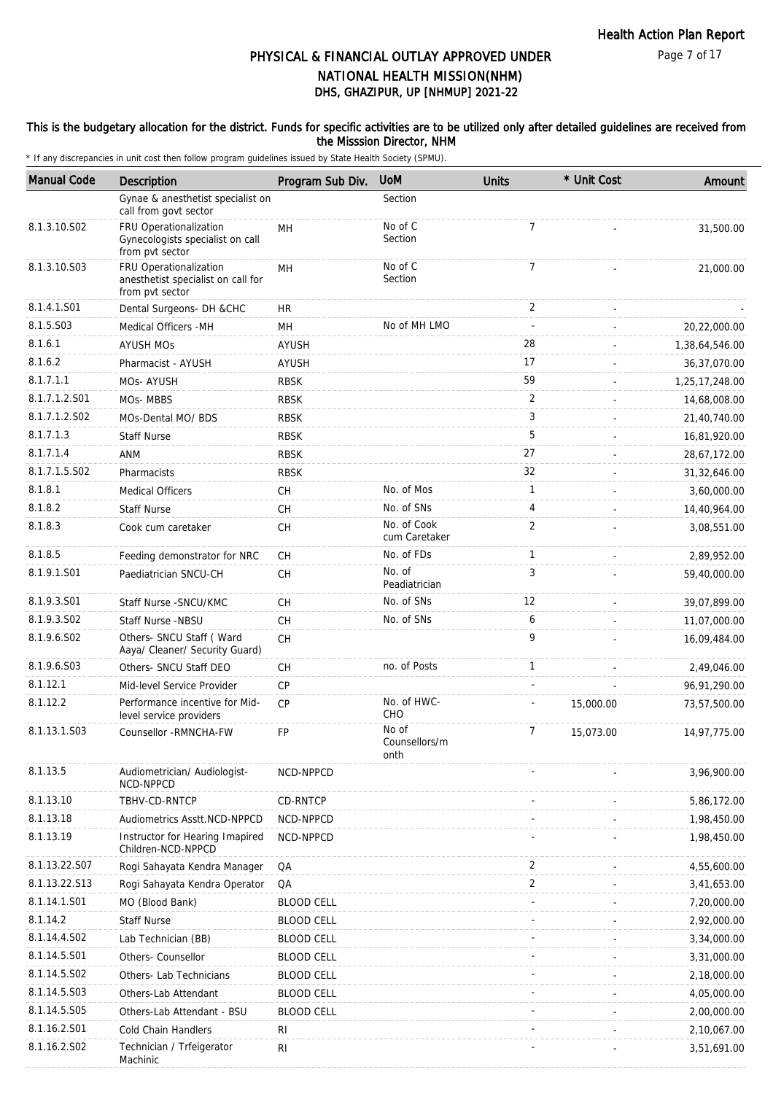### This is the budgetary allocation for the district. Funds for specific activities are to be utilized only after detailed guidelines are received from the Misssion Director, NHM

| <b>Manual Code</b> | <b>Description</b>                                                              | Program Sub Div.  | <b>UoM</b>                     | <b>Units</b>   | * Unit Cost | Amount         |
|--------------------|---------------------------------------------------------------------------------|-------------------|--------------------------------|----------------|-------------|----------------|
|                    | Gynae & anesthetist specialist on<br>call from govt sector                      |                   | Section                        |                |             |                |
| 8.1.3.10.S02       | FRU Operationalization<br>Gynecologists specialist on call<br>from pvt sector   | MH                | No of C<br>Section             | $\overline{7}$ |             | 31,500.00      |
| 8.1.3.10.S03       | FRU Operationalization<br>anesthetist specialist on call for<br>from pvt sector | MН                | No of C<br>Section             | 7              |             | 21,000.00      |
| 8.1.4.1.S01        | Dental Surgeons- DH &CHC                                                        | HR.               |                                | 2              |             |                |
| 8.1.5.S03          | Medical Officers - MH                                                           | MН                | No of MH LMO                   |                |             | 20,22,000.00   |
| 8.1.6.1            | <b>AYUSH MOS</b>                                                                | <b>AYUSH</b>      |                                | 28             |             | 1,38,64,546.00 |
| 8.1.6.2            | Pharmacist - AYUSH                                                              | AYUSH             |                                | 17             |             | 36, 37, 070.00 |
| 8.1.7.1.1          | MOs-AYUSH                                                                       | <b>RBSK</b>       |                                | 59             |             | 1,25,17,248.00 |
| 8.1.7.1.2.S01      | MOs-MBBS                                                                        | <b>RBSK</b>       |                                | 2              |             | 14,68,008.00   |
| 8.1.7.1.2.S02      | MOs-Dental MO/ BDS                                                              | <b>RBSK</b>       |                                | 3              |             | 21,40,740.00   |
| 8.1.7.1.3          | <b>Staff Nurse</b>                                                              | <b>RBSK</b>       |                                | 5              |             | 16,81,920.00   |
| 8.1.7.1.4          | <b>ANM</b>                                                                      | <b>RBSK</b>       |                                | 27             |             | 28,67,172.00   |
| 8.1.7.1.5.S02      | Pharmacists                                                                     | <b>RBSK</b>       |                                | 32             |             | 31,32,646.00   |
| 8.1.8.1            | <b>Medical Officers</b>                                                         | CН                | No. of Mos                     | 1              |             | 3,60,000.00    |
| 8.1.8.2            | <b>Staff Nurse</b>                                                              | CH                | No. of SNs                     | 4              |             | 14,40,964.00   |
| 8.1.8.3            | Cook cum caretaker                                                              | CH                | No. of Cook<br>cum Caretaker   | $\overline{2}$ |             | 3,08,551.00    |
| 8.1.8.5            | Feeding demonstrator for NRC                                                    | CH                | No. of FDs                     | $\mathbf{1}$   |             | 2,89,952.00    |
| 8.1.9.1.S01        | Paediatrician SNCU-CH                                                           | CH                | No. of<br>Peadiatrician        | 3              |             | 59,40,000.00   |
| 8.1.9.3.S01        | Staff Nurse - SNCU/KMC                                                          | CH                | No. of SNs                     | 12             |             | 39,07,899.00   |
| 8.1.9.3.SO2        | Staff Nurse -NBSU                                                               | CH                | No. of SNs                     | 6              |             | 11,07,000.00   |
| 8.1.9.6.S02        | Others- SNCU Staff (Ward<br>Aaya/ Cleaner/ Security Guard)                      | <b>CH</b>         |                                | 9              |             | 16,09,484.00   |
| 8.1.9.6.S03        | Others- SNCU Staff DEO                                                          | CH                | no. of Posts                   | $\mathbf{1}$   |             | 2,49,046.00    |
| 8.1.12.1           | Mid-level Service Provider                                                      | СP                |                                |                |             | 96,91,290.00   |
| 8.1.12.2           | Performance incentive for Mid-<br>level service providers                       | <b>CP</b>         | No. of HWC-<br>CHO             |                | 15,000.00   | 73,57,500.00   |
| 8.1.13.1.S03       | Counsellor - RMNCHA-FW                                                          | FP                | No of<br>Counsellors/m<br>onth | 7              | 15,073.00   | 14,97,775.00   |
| 8.1.13.5           | Audiometrician/ Audiologist-<br>NCD-NPPCD                                       | NCD-NPPCD         |                                |                |             | 3,96,900.00    |
| 8.1.13.10          | TBHV-CD-RNTCP                                                                   | CD-RNTCP          |                                |                |             | 5,86,172.00    |
| 8.1.13.18          | Audiometrics Asstt.NCD-NPPCD                                                    | NCD-NPPCD         |                                |                |             | 1,98,450.00    |
| 8.1.13.19          | Instructor for Hearing Imapired<br>Children-NCD-NPPCD                           | NCD-NPPCD         |                                |                |             | 1,98,450.00    |
| 8.1.13.22.S07      | Rogi Sahayata Kendra Manager                                                    | QA                |                                | 2              |             | 4,55,600.00    |
| 8.1.13.22.S13      | Rogi Sahayata Kendra Operator                                                   | QA                |                                | $\overline{2}$ |             | 3,41,653.00    |
| 8.1.14.1.S01       | MO (Blood Bank)                                                                 | <b>BLOOD CELL</b> |                                |                |             | 7,20,000.00    |
| 8.1.14.2           | <b>Staff Nurse</b>                                                              | <b>BLOOD CELL</b> |                                |                |             | 2,92,000.00    |
| 8.1.14.4.S02       | Lab Technician (BB)                                                             | <b>BLOOD CELL</b> |                                |                |             | 3,34,000.00    |
| 8.1.14.5.S01       | Others- Counsellor                                                              | <b>BLOOD CELL</b> |                                |                |             | 3,31,000.00    |
| 8.1.14.5.S02       | Others- Lab Technicians                                                         | <b>BLOOD CELL</b> |                                |                |             | 2,18,000.00    |
| 8.1.14.5.S03       | Others-Lab Attendant                                                            | <b>BLOOD CELL</b> |                                |                |             | 4,05,000.00    |
| 8.1.14.5.S05       | Others-Lab Attendant - BSU                                                      | <b>BLOOD CELL</b> |                                |                |             | 2,00,000.00    |
| 8.1.16.2.S01       | Cold Chain Handlers                                                             | <b>RI</b>         |                                |                |             | 2,10,067.00    |
| 8.1.16.2.S02       | Technician / Trfeigerator<br>Machinic                                           | RI                |                                |                |             | 3,51,691.00    |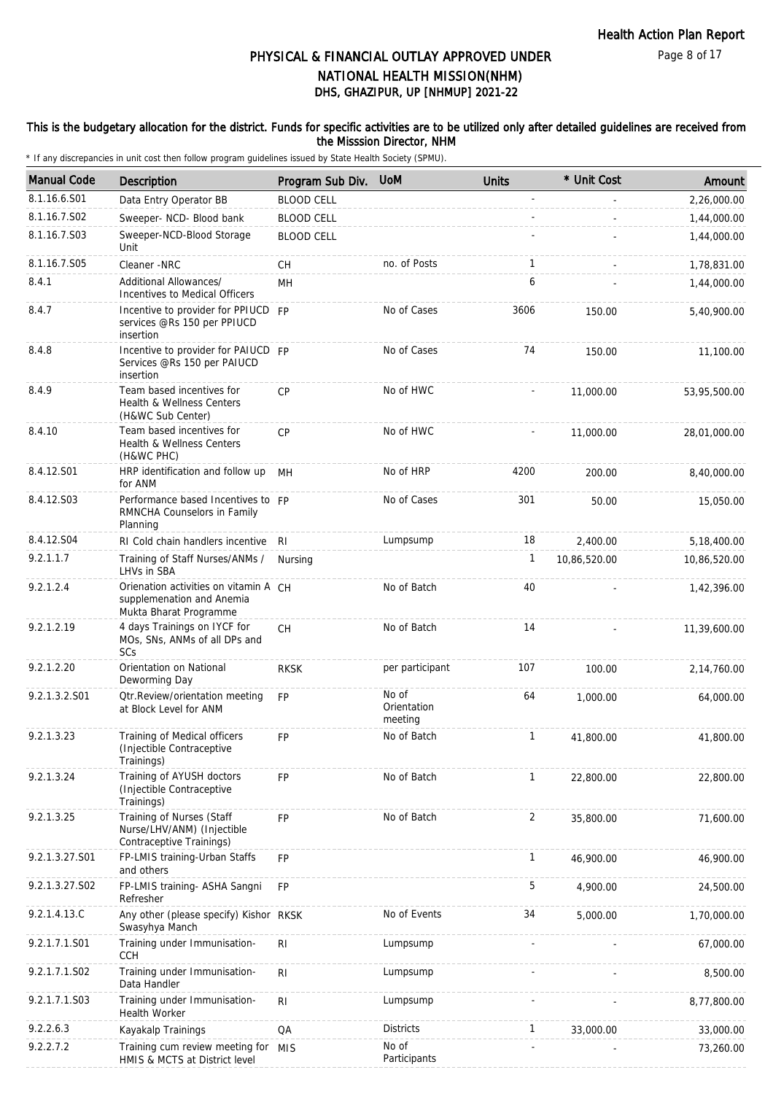Page 8 of 17

# DHS, GHAZIPUR, UP [NHMUP] 2021-22 PHYSICAL & FINANCIAL OUTLAY APPROVED UNDER NATIONAL HEALTH MISSION(NHM)

### This is the budgetary allocation for the district. Funds for specific activities are to be utilized only after detailed guidelines are received from the Misssion Director, NHM

| <b>Manual Code</b> | <b>Description</b>                                                                           | Program Sub Div.  | <b>UoM</b>                      | <b>Units</b>   | * Unit Cost  | Amount       |
|--------------------|----------------------------------------------------------------------------------------------|-------------------|---------------------------------|----------------|--------------|--------------|
| 8.1.16.6.S01       | Data Entry Operator BB                                                                       | <b>BLOOD CELL</b> |                                 |                |              | 2,26,000.00  |
| 8.1.16.7.S02       | Sweeper- NCD- Blood bank                                                                     | <b>BLOOD CELL</b> |                                 |                |              | 1,44,000.00  |
| 8.1.16.7.S03       | Sweeper-NCD-Blood Storage<br>Unit                                                            | <b>BLOOD CELL</b> |                                 |                |              | 1,44,000.00  |
| 8.1.16.7.S05       | Cleaner -NRC                                                                                 | СH                | no. of Posts                    | 1              |              | 1,78,831.00  |
| 8.4.1              | Additional Allowances/<br>Incentives to Medical Officers                                     | MН                |                                 | 6              |              | 1,44,000.00  |
| 8.4.7              | Incentive to provider for PPIUCD FP<br>services @Rs 150 per PPIUCD<br>insertion              |                   | No of Cases                     | 3606           | 150.00       | 5,40,900.00  |
| 8.4.8              | Incentive to provider for PAIUCD FP<br>Services @Rs 150 per PAIUCD<br>insertion              |                   | No of Cases                     | 74             | 150.00       | 11,100.00    |
| 8.4.9              | Team based incentives for<br>Health & Wellness Centers<br>(H&WC Sub Center)                  | <b>CP</b>         | No of HWC                       |                | 11,000.00    | 53,95,500.00 |
| 8.4.10             | Team based incentives for<br>Health & Wellness Centers<br>(H&WC PHC)                         | <b>CP</b>         | No of HWC                       |                | 11,000.00    | 28,01,000.00 |
| 8.4.12.S01         | HRP identification and follow up<br>for ANM                                                  | MН                | No of HRP                       | 4200           | 200.00       | 8,40,000.00  |
| 8.4.12.S03         | Performance based Incentives to FP<br>RMNCHA Counselors in Family<br>Planning                |                   | No of Cases                     | 301            | 50.00        | 15,050.00    |
| 8.4.12.S04         | RI Cold chain handlers incentive                                                             | RI                | Lumpsump                        | 18             | 2,400.00     | 5,18,400.00  |
| 9.2.1.1.7          | Training of Staff Nurses/ANMs /<br>LHVs in SBA                                               | Nursing           |                                 | 1              | 10,86,520.00 | 10,86,520.00 |
| 9.2.1.2.4          | Orienation activities on vitamin A CH<br>supplemenation and Anemia<br>Mukta Bharat Programme |                   | No of Batch                     | 40             |              | 1,42,396.00  |
| 9.2.1.2.19         | 4 days Trainings on IYCF for<br>MOs, SNs, ANMs of all DPs and<br><b>SC<sub>S</sub></b>       | <b>CH</b>         | No of Batch                     | 14             |              | 11,39,600.00 |
| 9.2.1.2.20         | Orientation on National<br>Deworming Day                                                     | <b>RKSK</b>       | per participant                 | 107            | 100.00       | 2,14,760.00  |
| 9.2.1.3.2.S01      | <b>Qtr.Review/orientation meeting</b><br>at Block Level for ANM                              | <b>FP</b>         | No of<br>Orientation<br>meeting | 64             | 1,000.00     | 64,000.00    |
| 9.2.1.3.23         | Training of Medical officers<br>(Injectible Contraceptive)<br>Trainings)                     | <b>FP</b>         | No of Batch                     | $\mathbf{1}$   | 41,800.00    | 41,800.00    |
| 9.2.1.3.24         | Training of AYUSH doctors<br>(Injectible Contraceptive<br>Trainings)                         | <b>FP</b>         | No of Batch                     | $\mathbf{1}$   | 22,800.00    | 22,800.00    |
| 9.2.1.3.25         | Training of Nurses (Staff<br>Nurse/LHV/ANM) (Injectible<br>Contraceptive Trainings)          | FP                | No of Batch                     | $\overline{2}$ | 35,800.00    | 71,600.00    |
| 9.2.1.3.27.S01     | FP-LMIS training-Urban Staffs<br>and others                                                  | FP                |                                 | $\mathbf{1}$   | 46,900.00    | 46,900.00    |
| 9.2.1.3.27.S02     | FP-LMIS training- ASHA Sangni<br>Refresher                                                   | <b>FP</b>         |                                 | 5              | 4,900.00     | 24,500.00    |
| 9.2.1.4.13.C       | Any other (please specify) Kishor RKSK<br>Swasyhya Manch                                     |                   | No of Events                    | 34             | 5,000.00     | 1,70,000.00  |
| 9.2.1.7.1.S01      | Training under Immunisation-<br><b>CCH</b>                                                   | RI                | Lumpsump                        |                |              | 67,000.00    |
| 9.2.1.7.1.S02      | Training under Immunisation-<br>Data Handler                                                 | R <sub>l</sub>    | Lumpsump                        |                |              | 8,500.00     |
| 9.2.1.7.1.S03      | Training under Immunisation-<br><b>Health Worker</b>                                         | R <sub>l</sub>    | Lumpsump                        |                |              | 8,77,800.00  |
| 9.2.2.6.3          | Kayakalp Trainings                                                                           | QA                | <b>Districts</b>                | $\mathbf{1}$   | 33,000.00    | 33,000.00    |
| 9.2.2.7.2          | Training cum review meeting for<br>HMIS & MCTS at District level                             | MIS               | No of<br>Participants           |                |              | 73,260.00    |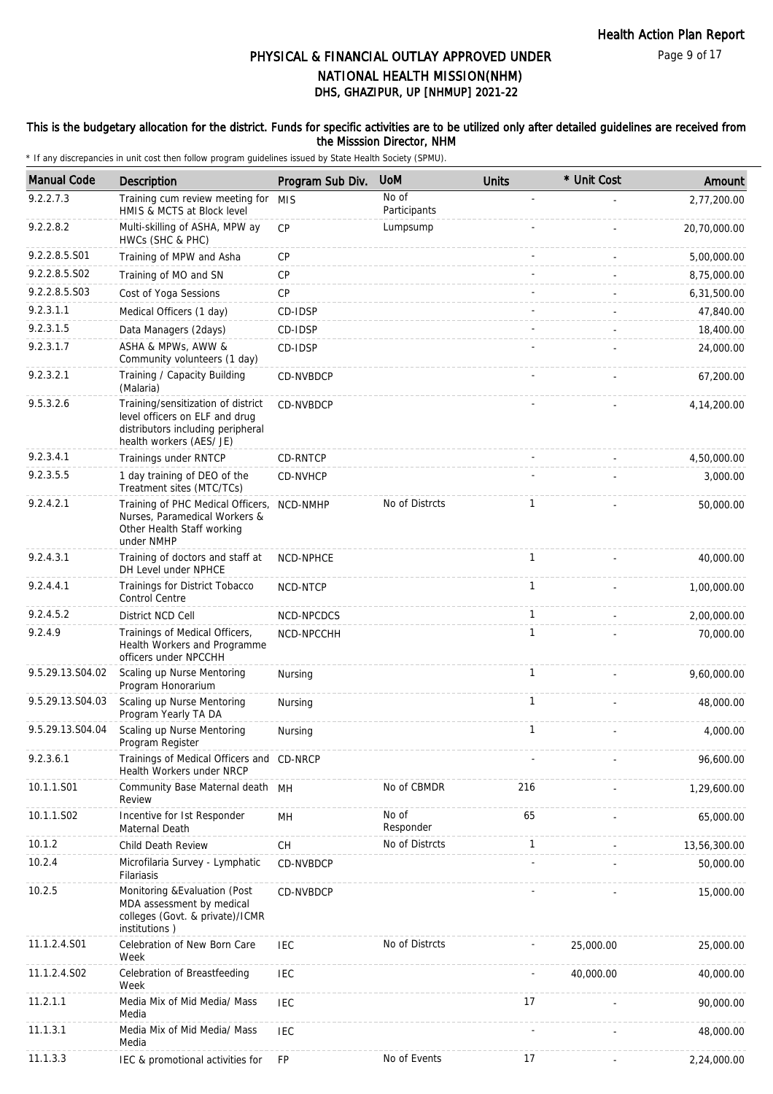### This is the budgetary allocation for the district. Funds for specific activities are to be utilized only after detailed guidelines are received from the Misssion Director, NHM

| <b>Manual Code</b> | Description                                                                                                                           | Program Sub Div. | <b>UoM</b>            | <b>Units</b> | * Unit Cost | Amount        |
|--------------------|---------------------------------------------------------------------------------------------------------------------------------------|------------------|-----------------------|--------------|-------------|---------------|
| 9.2.2.7.3          | Training cum review meeting for MIS<br>HMIS & MCTS at Block level                                                                     |                  | No of<br>Participants |              |             | 2,77,200.00   |
| 9.2.2.8.2          | Multi-skilling of ASHA, MPW ay<br>HWCs (SHC & PHC)                                                                                    | CP               | Lumpsump              |              |             | 20,70,000.00  |
| 9.2.2.8.5.S01      | Training of MPW and Asha                                                                                                              | <b>CP</b>        |                       |              |             | 5,00,000.00   |
| 9.2.2.8.5.S02      | Training of MO and SN                                                                                                                 | CP               |                       |              |             | 8,75,000.00   |
| 9.2.2.8.5.S03      | Cost of Yoga Sessions                                                                                                                 | CP               |                       |              |             | 6,31,500.00   |
| 9.2.3.1.1          | Medical Officers (1 day)                                                                                                              | CD-IDSP          |                       |              |             | 47,840.00     |
| 9.2.3.1.5          | Data Managers (2days)                                                                                                                 | CD-IDSP          |                       |              |             | 18,400.00     |
| 9.2.3.1.7          | ASHA & MPWs, AWW &<br>Community volunteers (1 day)                                                                                    | CD-IDSP          |                       |              |             | 24,000.00     |
| 9.2.3.2.1          | Training / Capacity Building<br>(Malaria)                                                                                             | CD-NVBDCP        |                       |              |             | 67,200.00     |
| 9.5.3.2.6          | Training/sensitization of district<br>level officers on ELF and drug<br>distributors including peripheral<br>health workers (AES/ JE) | CD-NVBDCP        |                       |              |             | 4, 14, 200.00 |
| 9.2.3.4.1          | Trainings under RNTCP                                                                                                                 | CD-RNTCP         |                       |              |             | 4,50,000.00   |
| 9.2.3.5.5          | 1 day training of DEO of the<br>Treatment sites (MTC/TCs)                                                                             | CD-NVHCP         |                       |              |             | 3,000.00      |
| 9.2.4.2.1          | Training of PHC Medical Officers, NCD-NMHP<br>Nurses, Paramedical Workers &<br>Other Health Staff working<br>under NMHP               |                  | No of Distrcts        | 1            |             | 50,000.00     |
| 9.2.4.3.1          | Training of doctors and staff at<br>DH Level under NPHCE                                                                              | NCD-NPHCE        |                       | 1            |             | 40,000.00     |
| 9.2.4.4.1          | Trainings for District Tobacco<br><b>Control Centre</b>                                                                               | NCD-NTCP         |                       | 1            |             | 1,00,000.00   |
| 9.2.4.5.2          | District NCD Cell                                                                                                                     | NCD-NPCDCS       |                       | $\mathbf{1}$ |             | 2,00,000.00   |
| 9.2.4.9            | Trainings of Medical Officers,<br>Health Workers and Programme<br>officers under NPCCHH                                               | NCD-NPCCHH       |                       | 1            |             | 70,000.00     |
| 9.5.29.13.S04.02   | Scaling up Nurse Mentoring<br>Program Honorarium                                                                                      | Nursing          |                       | $\mathbf{1}$ |             | 9,60,000.00   |
| 9.5.29.13.S04.03   | Scaling up Nurse Mentoring<br>Program Yearly TA DA                                                                                    | Nursing          |                       | 1            |             | 48,000.00     |
| 9.5.29.13.S04.04   | Scaling up Nurse Mentoring<br>Program Register                                                                                        | Nursing          |                       | 1            |             | 4,000.00      |
| 9.2.3.6.1          | Trainings of Medical Officers and CD-NRCP<br><b>Health Workers under NRCP</b>                                                         |                  |                       |              |             | 96,600.00     |
| 10.1.1.S01         | Community Base Maternal death MH<br>Review                                                                                            |                  | No of CBMDR           | 216          |             | 1,29,600.00   |
| 10.1.1.S02         | Incentive for 1st Responder<br>Maternal Death                                                                                         | MH               | No of<br>Responder    | 65           |             | 65,000.00     |
| 10.1.2             | Child Death Review                                                                                                                    | CH               | No of Distrcts        | 1            |             | 13,56,300.00  |
| 10.2.4             | Microfilaria Survey - Lymphatic<br>Filariasis                                                                                         | CD-NVBDCP        |                       |              |             | 50,000.00     |
| 10.2.5             | Monitoring & Evaluation (Post<br>MDA assessment by medical<br>colleges (Govt. & private)/ICMR<br>institutions)                        | CD-NVBDCP        |                       |              |             | 15,000.00     |
| 11.1.2.4.S01       | Celebration of New Born Care<br>Week                                                                                                  | <b>IEC</b>       | No of Distrcts        |              | 25,000.00   | 25,000.00     |
| 11.1.2.4.S02       | Celebration of Breastfeeding<br>Week                                                                                                  | <b>IEC</b>       |                       |              | 40,000.00   | 40,000.00     |
| 11.2.1.1           | Media Mix of Mid Media/ Mass<br>Media                                                                                                 | <b>IEC</b>       |                       | 17           |             | 90,000.00     |
| 11.1.3.1           | Media Mix of Mid Media/ Mass<br>Media                                                                                                 | <b>IEC</b>       |                       |              |             | 48,000.00     |
| 11.1.3.3           | IEC & promotional activities for                                                                                                      | <b>FP</b>        | No of Events          | 17           |             | 2,24,000.00   |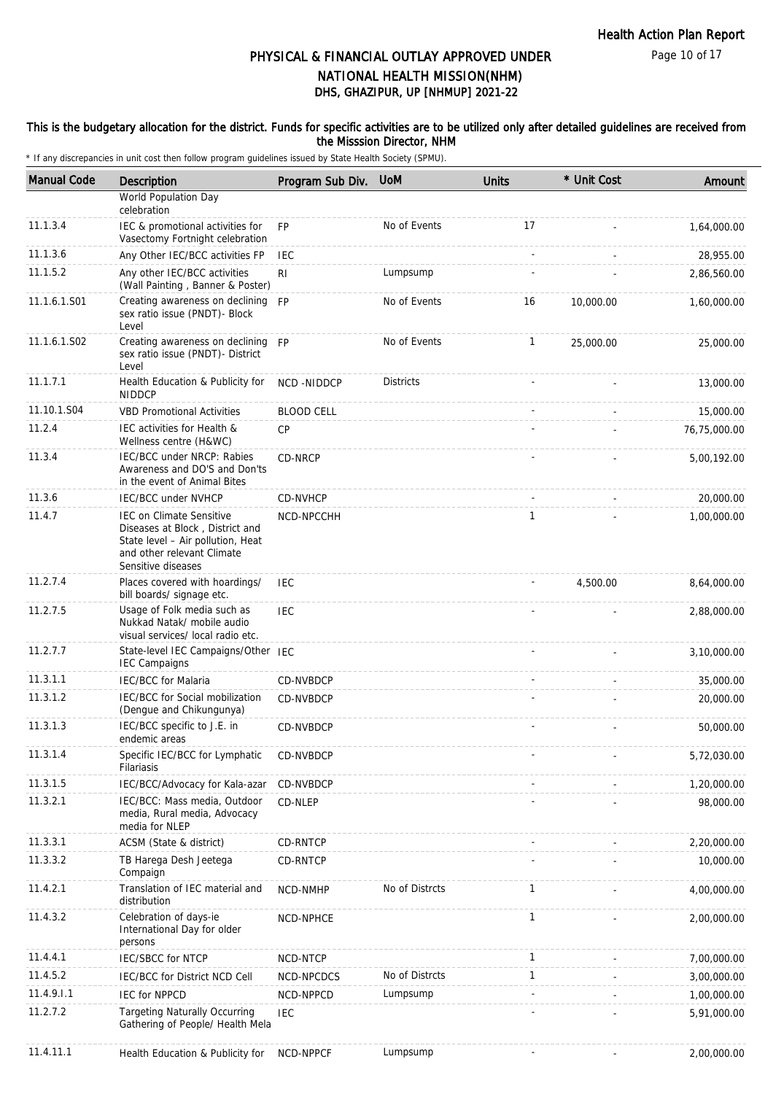### This is the budgetary allocation for the district. Funds for specific activities are to be utilized only after detailed guidelines are received from the Misssion Director, NHM

| <b>Manual Code</b> | <b>Description</b>                                                                                                                                          | Program Sub Div.   | <b>UoM</b>       | <b>Units</b> | * Unit Cost | Amount       |
|--------------------|-------------------------------------------------------------------------------------------------------------------------------------------------------------|--------------------|------------------|--------------|-------------|--------------|
|                    | World Population Day<br>celebration                                                                                                                         |                    |                  |              |             |              |
| 11.1.3.4           | IEC & promotional activities for<br>Vasectomy Fortnight celebration                                                                                         | FP                 | No of Events     | 17           |             | 1,64,000.00  |
| 11.1.3.6           | Any Other IEC/BCC activities FP                                                                                                                             | <b>IEC</b>         |                  |              |             | 28,955.00    |
| 11.1.5.2           | Any other IEC/BCC activities<br>(Wall Painting, Banner & Poster)                                                                                            | R <sub>1</sub>     | Lumpsump         |              |             | 2,86,560.00  |
| 11.1.6.1.S01       | Creating awareness on declining FP<br>sex ratio issue (PNDT)- Block<br>Level                                                                                |                    | No of Events     | 16           | 10,000.00   | 1,60,000.00  |
| 11.1.6.1.S02       | Creating awareness on declining FP<br>sex ratio issue (PNDT)- District<br>Level                                                                             |                    | No of Events     | $\mathbf{1}$ | 25,000.00   | 25,000.00    |
| 11.1.7.1           | Health Education & Publicity for<br><b>NIDDCP</b>                                                                                                           | <b>NCD -NIDDCP</b> | <b>Districts</b> |              |             | 13,000.00    |
| 11.10.1.S04        | <b>VBD Promotional Activities</b>                                                                                                                           | <b>BLOOD CELL</b>  |                  |              |             | 15,000.00    |
| 11.2.4             | IEC activities for Health &<br>Wellness centre (H&WC)                                                                                                       | CP                 |                  |              |             | 76,75,000.00 |
| 11.3.4             | IEC/BCC under NRCP: Rabies<br>Awareness and DO'S and Don'ts<br>in the event of Animal Bites                                                                 | CD-NRCP            |                  |              |             | 5,00,192.00  |
| 11.3.6             | <b>IEC/BCC under NVHCP</b>                                                                                                                                  | CD-NVHCP           |                  |              |             | 20,000.00    |
| 11.4.7             | <b>IEC on Climate Sensitive</b><br>Diseases at Block, District and<br>State level - Air pollution, Heat<br>and other relevant Climate<br>Sensitive diseases | NCD-NPCCHH         |                  | 1            |             | 1,00,000.00  |
| 11.2.7.4           | Places covered with hoardings/<br>bill boards/ signage etc.                                                                                                 | <b>IEC</b>         |                  |              | 4,500.00    | 8,64,000.00  |
| 11.2.7.5           | Usage of Folk media such as<br>Nukkad Natak/ mobile audio<br>visual services/ local radio etc.                                                              | <b>IEC</b>         |                  |              |             | 2,88,000.00  |
| 11.2.7.7           | State-level IEC Campaigns/Other IEC<br><b>IEC Campaigns</b>                                                                                                 |                    |                  |              |             | 3,10,000.00  |
| 11.3.1.1           | <b>IEC/BCC</b> for Malaria                                                                                                                                  | CD-NVBDCP          |                  |              |             | 35,000.00    |
| 11.3.1.2           | IEC/BCC for Social mobilization<br>(Dengue and Chikungunya)                                                                                                 | CD-NVBDCP          |                  |              |             | 20,000.00    |
| 11.3.1.3           | IEC/BCC specific to J.E. in<br>endemic areas                                                                                                                | CD-NVBDCP          |                  |              |             | 50,000.00    |
| 11.3.1.4           | Specific IEC/BCC for Lymphatic<br>Filariasis                                                                                                                | CD-NVBDCP          |                  |              |             | 5,72,030.00  |
| 11.3.1.5           | IEC/BCC/Advocacy for Kala-azar                                                                                                                              | CD-NVBDCP          |                  |              |             | 1,20,000.00  |
| 11.3.2.1           | IEC/BCC: Mass media, Outdoor<br>media, Rural media, Advocacy<br>media for NLEP                                                                              | CD-NLEP            |                  |              |             | 98,000.00    |
| 11.3.3.1           | ACSM (State & district)                                                                                                                                     | CD-RNTCP           |                  |              |             | 2,20,000.00  |
| 11.3.3.2           | TB Harega Desh Jeetega<br>Compaign                                                                                                                          | <b>CD-RNTCP</b>    |                  |              |             | 10,000.00    |
| 11.4.2.1           | Translation of IEC material and<br>distribution                                                                                                             | NCD-NMHP           | No of Distrcts   | $\mathbf{1}$ |             | 4,00,000.00  |
| 11.4.3.2           | Celebration of days-ie<br>International Day for older<br>persons                                                                                            | NCD-NPHCE          |                  | $\mathbf{1}$ |             | 2,00,000.00  |
| 11.4.4.1           | <b>IEC/SBCC for NTCP</b>                                                                                                                                    | NCD-NTCP           |                  | $\mathbf{1}$ |             | 7,00,000.00  |
| 11.4.5.2           | IEC/BCC for District NCD Cell                                                                                                                               | NCD-NPCDCS         | No of Distrcts   | 1            |             | 3,00,000.00  |
| 11.4.9.1.1         | <b>IEC for NPPCD</b>                                                                                                                                        | NCD-NPPCD          | Lumpsump         | ÷.           |             | 1,00,000.00  |
| 11.2.7.2           | <b>Targeting Naturally Occurring</b><br>Gathering of People/ Health Mela                                                                                    | IEC                |                  |              |             | 5,91,000.00  |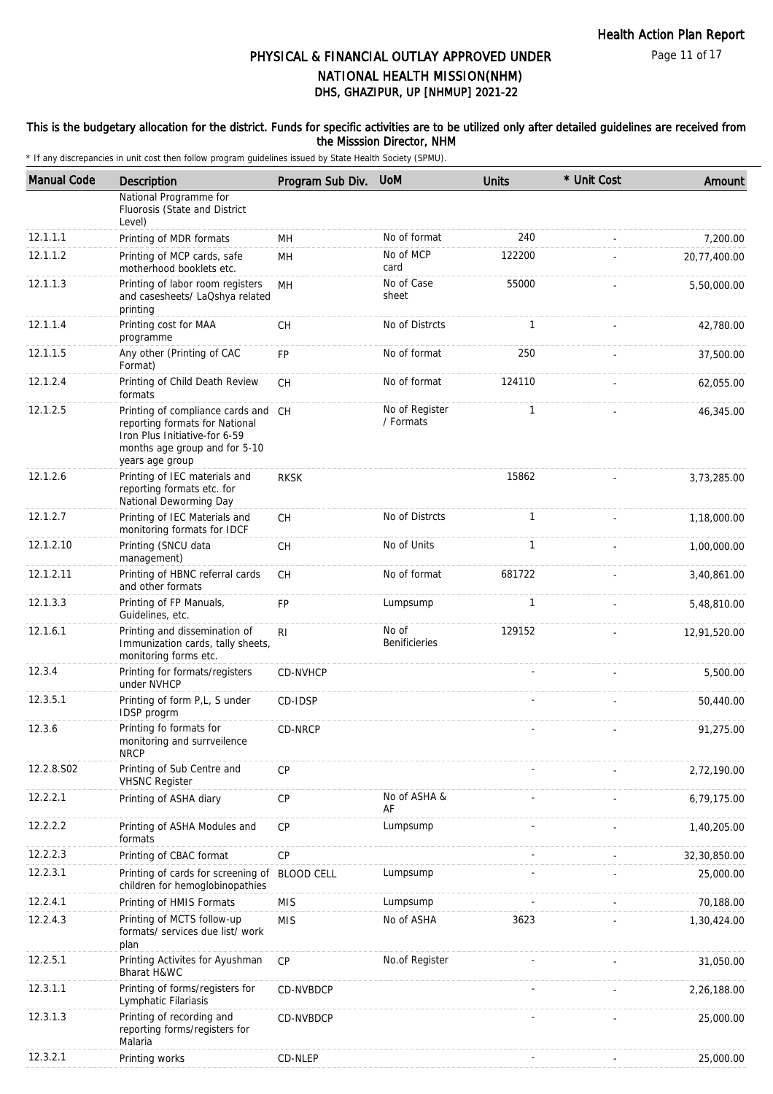### This is the budgetary allocation for the district. Funds for specific activities are to be utilized only after detailed guidelines are received from the Misssion Director, NHM

| <b>Manual Code</b> | Description                                                                                                                                                | Program Sub Div.  | <b>UoM</b>                    | <b>Units</b> | * Unit Cost | Amount       |
|--------------------|------------------------------------------------------------------------------------------------------------------------------------------------------------|-------------------|-------------------------------|--------------|-------------|--------------|
|                    | National Programme for<br>Fluorosis (State and District<br>Level)                                                                                          |                   |                               |              |             |              |
| 12.1.1.1           | Printing of MDR formats                                                                                                                                    | MH                | No of format                  | 240          |             | 7,200.00     |
| 12.1.1.2           | Printing of MCP cards, safe<br>motherhood booklets etc.                                                                                                    | MН                | No of MCP<br>card             | 122200       |             | 20,77,400.00 |
| 12.1.1.3           | Printing of labor room registers<br>and casesheets/ LaQshya related<br>printing                                                                            | MH                | No of Case<br>sheet           | 55000        |             | 5,50,000.00  |
| 12.1.1.4           | Printing cost for MAA<br>programme                                                                                                                         | <b>CH</b>         | No of Distrcts                | $\mathbf{1}$ |             | 42,780.00    |
| 12.1.1.5           | Any other (Printing of CAC<br>Format)                                                                                                                      | FP                | No of format                  | 250          |             | 37,500.00    |
| 12.1.2.4           | Printing of Child Death Review<br>formats                                                                                                                  | <b>CH</b>         | No of format                  | 124110       |             | 62,055.00    |
| 12.1.2.5           | Printing of compliance cards and CH<br>reporting formats for National<br>Iron Plus Initiative-for 6-59<br>months age group and for 5-10<br>years age group |                   | No of Register<br>/ Formats   | $\mathbf{1}$ |             | 46,345.00    |
| 12.1.2.6           | Printing of IEC materials and<br>reporting formats etc. for<br>National Deworming Day                                                                      | <b>RKSK</b>       |                               | 15862        |             | 3,73,285.00  |
| 12.1.2.7           | Printing of IEC Materials and<br>monitoring formats for IDCF                                                                                               | <b>CH</b>         | No of Distrcts                | $\mathbf{1}$ |             | 1,18,000.00  |
| 12.1.2.10          | Printing (SNCU data<br>management)                                                                                                                         | CH                | No of Units                   | 1            |             | 1,00,000.00  |
| 12.1.2.11          | Printing of HBNC referral cards<br>and other formats                                                                                                       | СH                | No of format                  | 681722       |             | 3,40,861.00  |
| 12.1.3.3           | Printing of FP Manuals,<br>Guidelines, etc.                                                                                                                | FP                | Lumpsump                      | $\mathbf{1}$ |             | 5,48,810.00  |
| 12.1.6.1           | Printing and dissemination of<br>Immunization cards, tally sheets,<br>monitoring forms etc.                                                                | R <sub>1</sub>    | No of<br><b>Benificieries</b> | 129152       |             | 12,91,520.00 |
| 12.3.4             | Printing for formats/registers<br>under NVHCP                                                                                                              | <b>CD-NVHCP</b>   |                               |              |             | 5,500.00     |
| 12.3.5.1           | Printing of form P,L, S under<br>IDSP progrm                                                                                                               | CD-IDSP           |                               |              |             | 50,440.00    |
| 12.3.6             | Printing fo formats for<br>monitoring and surrveilence<br><b>NRCP</b>                                                                                      | CD-NRCP           |                               |              |             | 91,275.00    |
| 12.2.8.S02         | Printing of Sub Centre and<br><b>VHSNC Register</b>                                                                                                        | CP                |                               |              |             | 2,72,190.00  |
| 12.2.2.1           | Printing of ASHA diary                                                                                                                                     | CP                | No of ASHA &<br>AF            |              |             | 6,79,175.00  |
| 12.2.2.2           | Printing of ASHA Modules and<br>formats                                                                                                                    | <b>CP</b>         | Lumpsump                      |              |             | 1,40,205.00  |
| 12.2.2.3           | Printing of CBAC format                                                                                                                                    | CP                |                               |              |             | 32,30,850.00 |
| 12.2.3.1           | Printing of cards for screening of<br>children for hemoglobinopathies                                                                                      | <b>BLOOD CELL</b> | Lumpsump                      |              |             | 25,000.00    |
| 12.2.4.1           | Printing of HMIS Formats                                                                                                                                   | <b>MIS</b>        | Lumpsump                      |              |             | 70,188.00    |
| 12.2.4.3           | Printing of MCTS follow-up<br>formats/ services due list/ work<br>plan                                                                                     | <b>MIS</b>        | No of ASHA                    | 3623         |             | 1,30,424.00  |
| 12.2.5.1           | Printing Activites for Ayushman<br>Bharat H&WC                                                                                                             | <b>CP</b>         | No.of Register                |              |             | 31,050.00    |
| 12.3.1.1           | Printing of forms/registers for<br>Lymphatic Filariasis                                                                                                    | CD-NVBDCP         |                               |              |             | 2,26,188.00  |
| 12.3.1.3           | Printing of recording and<br>reporting forms/registers for<br>Malaria                                                                                      | CD-NVBDCP         |                               |              |             | 25,000.00    |
| 12.3.2.1           | Printing works                                                                                                                                             | CD-NLEP           |                               |              |             | 25,000.00    |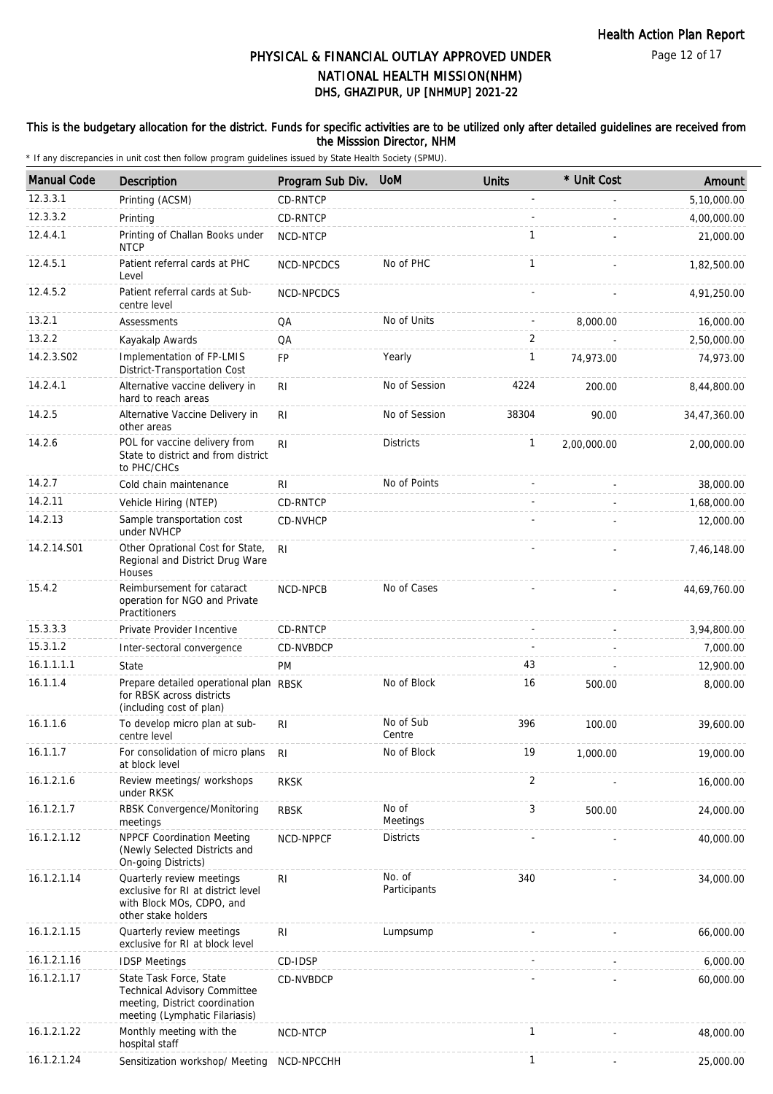Page 12 of 17

# DHS, GHAZIPUR, UP [NHMUP] 2021-22 PHYSICAL & FINANCIAL OUTLAY APPROVED UNDER NATIONAL HEALTH MISSION(NHM)

### This is the budgetary allocation for the district. Funds for specific activities are to be utilized only after detailed guidelines are received from the Misssion Director, NHM

| <b>Manual Code</b> | <b>Description</b>                                                                                                                 | Program Sub Div. | <b>UoM</b>             | <b>Units</b> | * Unit Cost | Amount       |
|--------------------|------------------------------------------------------------------------------------------------------------------------------------|------------------|------------------------|--------------|-------------|--------------|
| 12.3.3.1           | Printing (ACSM)                                                                                                                    | CD-RNTCP         |                        |              |             | 5,10,000.00  |
| 12.3.3.2           | Printing                                                                                                                           | CD-RNTCP         |                        |              |             | 4,00,000.00  |
| 12.4.4.1           | Printing of Challan Books under<br><b>NTCP</b>                                                                                     | NCD-NTCP         |                        | 1            |             | 21,000.00    |
| 12.4.5.1           | Patient referral cards at PHC<br>Level                                                                                             | NCD-NPCDCS       | No of PHC              | 1            |             | 1,82,500.00  |
| 12.4.5.2           | Patient referral cards at Sub-<br>centre level                                                                                     | NCD-NPCDCS       |                        |              |             | 4,91,250.00  |
| 13.2.1             | Assessments                                                                                                                        | QA               | No of Units            |              | 8,000.00    | 16,000.00    |
| 13.2.2             | Kayakalp Awards                                                                                                                    | QA               |                        | 2            |             | 2,50,000.00  |
| 14.2.3.S02         | Implementation of FP-LMIS<br>District-Transportation Cost                                                                          | FP               | Yearly                 | 1            | 74,973.00   | 74,973.00    |
| 14.2.4.1           | Alternative vaccine delivery in<br>hard to reach areas                                                                             | R <sub>l</sub>   | No of Session          | 4224         | 200.00      | 8,44,800.00  |
| 14.2.5             | Alternative Vaccine Delivery in<br>other areas                                                                                     | R <sub>l</sub>   | No of Session          | 38304        | 90.00       | 34,47,360.00 |
| 14.2.6             | POL for vaccine delivery from<br>State to district and from district<br>to PHC/CHCs                                                | RI               | <b>Districts</b>       | $\mathbf{1}$ | 2,00,000.00 | 2,00,000.00  |
| 14.2.7             | Cold chain maintenance                                                                                                             | RI               | No of Points           |              |             | 38,000.00    |
| 14.2.11            | Vehicle Hiring (NTEP)                                                                                                              | CD-RNTCP         |                        |              |             | 1.68.000.00  |
| 14.2.13            | Sample transportation cost<br>under NVHCP                                                                                          | CD-NVHCP         |                        |              |             | 12,000.00    |
| 14.2.14.S01        | Other Oprational Cost for State,<br>Regional and District Drug Ware<br>Houses                                                      | RI.              |                        |              |             | 7,46,148.00  |
| 15.4.2             | Reimbursement for cataract<br>operation for NGO and Private<br>Practitioners                                                       | NCD-NPCB         | No of Cases            |              |             | 44,69,760.00 |
| 15.3.3.3           | Private Provider Incentive                                                                                                         | CD-RNTCP         |                        |              |             | 3,94,800.00  |
| 15.3.1.2           | Inter-sectoral convergence                                                                                                         | CD-NVBDCP        |                        |              |             | 7,000.00     |
| 16.1.1.1.1         | State                                                                                                                              | <b>PM</b>        |                        | 43           |             | 12,900.00    |
| 16.1.1.4           | Prepare detailed operational plan RBSK<br>for RBSK across districts<br>(including cost of plan)                                    |                  | No of Block            | 16           | 500.00      | 8,000.00     |
| 16.1.1.6           | To develop micro plan at sub-<br>centre level                                                                                      | RI               | No of Sub<br>Centre    | 396          | 100.00      | 39,600.00    |
| 16.1.1.7           | For consolidation of micro plans<br>at block level                                                                                 | R <sub>l</sub>   | No of Block            | 19           | 1,000.00    | 19,000.00    |
| 16.1.2.1.6         | Review meetings/ workshops<br>under RKSK                                                                                           | <b>RKSK</b>      |                        | 2            |             | 16,000.00    |
| 16.1.2.1.7         | RBSK Convergence/Monitoring<br>meetings                                                                                            | <b>RBSK</b>      | No of<br>Meetings      | 3            | 500.00      | 24,000.00    |
| 16.1.2.1.12        | <b>NPPCF Coordination Meeting</b><br>(Newly Selected Districts and<br>On-going Districts)                                          | NCD-NPPCF        | <b>Districts</b>       |              |             | 40,000.00    |
| 16.1.2.1.14        | Quarterly review meetings<br>exclusive for RI at district level<br>with Block MOs, CDPO, and<br>other stake holders                | RI               | No. of<br>Participants | 340          |             | 34,000.00    |
| 16.1.2.1.15        | Quarterly review meetings<br>exclusive for RI at block level                                                                       | R <sub>l</sub>   | Lumpsump               |              |             | 66,000.00    |
| 16.1.2.1.16        | <b>IDSP Meetings</b>                                                                                                               | CD-IDSP          |                        |              |             | 6,000.00     |
| 16.1.2.1.17        | State Task Force, State<br><b>Technical Advisory Committee</b><br>meeting, District coordination<br>meeting (Lymphatic Filariasis) | CD-NVBDCP        |                        |              |             | 60,000.00    |
| 16.1.2.1.22        | Monthly meeting with the<br>hospital staff                                                                                         | NCD-NTCP         |                        | $\mathbf{1}$ |             | 48,000.00    |
| 16.1.2.1.24        | Sensitization workshop/ Meeting                                                                                                    | NCD-NPCCHH       |                        | $\mathbf{1}$ |             | 25,000.00    |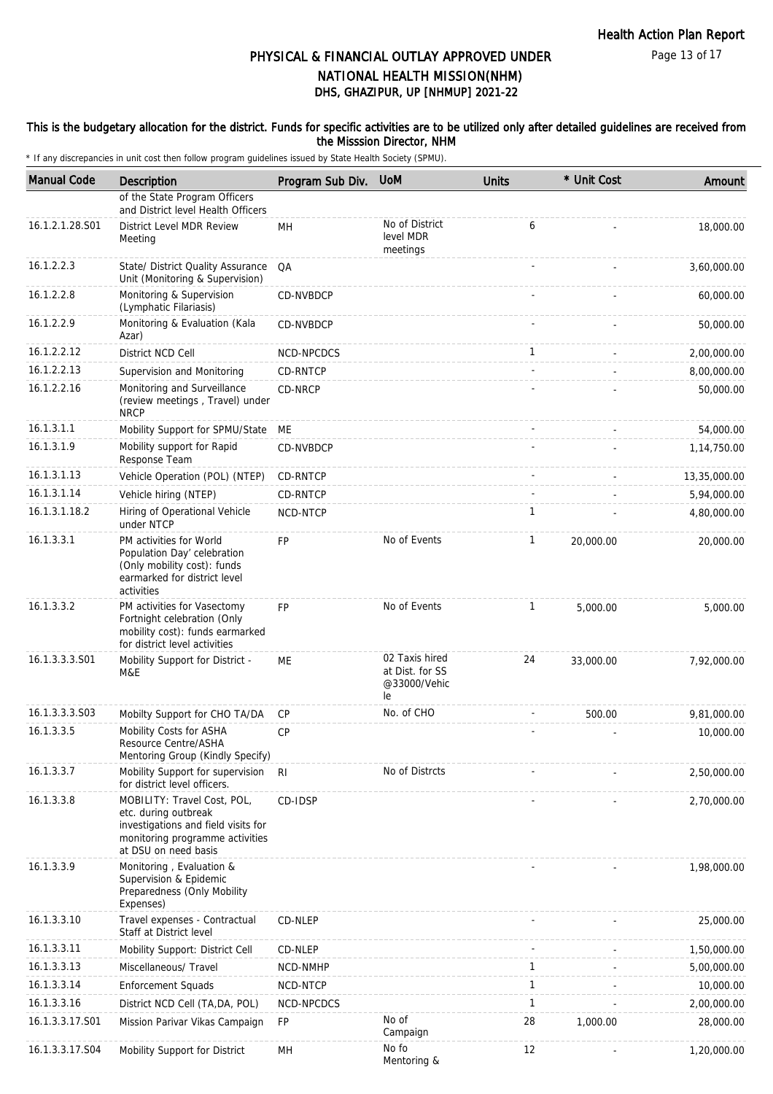### This is the budgetary allocation for the district. Funds for specific activities are to be utilized only after detailed guidelines are received from the Misssion Director, NHM

| <b>Manual Code</b> | Description                                                                                                                                           | Program Sub Div. | <b>UoM</b>                                              | <b>Units</b> | * Unit Cost | Amount       |
|--------------------|-------------------------------------------------------------------------------------------------------------------------------------------------------|------------------|---------------------------------------------------------|--------------|-------------|--------------|
|                    | of the State Program Officers<br>and District level Health Officers                                                                                   |                  |                                                         |              |             |              |
| 16.1.2.1.28.S01    | District Level MDR Review<br>Meeting                                                                                                                  | MH               | No of District<br>level MDR<br>meetings                 | 6            |             | 18,000.00    |
| 16.1.2.2.3         | State/ District Quality Assurance<br>Unit (Monitoring & Supervision)                                                                                  | QA               |                                                         |              |             | 3,60,000.00  |
| 16.1.2.2.8         | Monitoring & Supervision<br>(Lymphatic Filariasis)                                                                                                    | CD-NVBDCP        |                                                         |              |             | 60,000.00    |
| 16.1.2.2.9         | Monitoring & Evaluation (Kala<br>Azar)                                                                                                                | CD-NVBDCP        |                                                         |              |             | 50,000.00    |
| 16.1.2.2.12        | District NCD Cell                                                                                                                                     | NCD-NPCDCS       |                                                         | 1            |             | 2,00,000.00  |
| 16.1.2.2.13        | Supervision and Monitoring                                                                                                                            | CD-RNTCP         |                                                         |              |             | 8,00,000.00  |
| 16.1.2.2.16        | Monitoring and Surveillance<br>(review meetings, Travel) under<br><b>NRCP</b>                                                                         | CD-NRCP          |                                                         |              |             | 50,000.00    |
| 16.1.3.1.1         | Mobility Support for SPMU/State                                                                                                                       | ME               |                                                         |              |             | 54,000.00    |
| 16.1.3.1.9         | Mobility support for Rapid<br>Response Team                                                                                                           | CD-NVBDCP        |                                                         |              |             | 1,14,750.00  |
| 16.1.3.1.13        | Vehicle Operation (POL) (NTEP)                                                                                                                        | CD-RNTCP         |                                                         |              |             | 13,35,000.00 |
| 16.1.3.1.14        | Vehicle hiring (NTEP)                                                                                                                                 | <b>CD-RNTCP</b>  |                                                         |              |             | 5,94,000.00  |
| 16.1.3.1.18.2      | Hiring of Operational Vehicle<br>under NTCP                                                                                                           | NCD-NTCP         |                                                         | 1            |             | 4,80,000.00  |
| 16.1.3.3.1         | PM activities for World<br>Population Day' celebration<br>(Only mobility cost): funds<br>earmarked for district level<br>activities                   | <b>FP</b>        | No of Events                                            | 1            | 20,000.00   | 20,000.00    |
| 16.1.3.3.2         | PM activities for Vasectomy<br>Fortnight celebration (Only<br>mobility cost): funds earmarked<br>for district level activities                        | <b>FP</b>        | No of Events                                            | $\mathbf{1}$ | 5,000.00    | 5,000.00     |
| 16.1.3.3.3.S01     | Mobility Support for District -<br>M&E                                                                                                                | ME               | 02 Taxis hired<br>at Dist. for SS<br>@33000/Vehic<br>le | 24           | 33,000.00   | 7,92,000.00  |
| 16.1.3.3.3.S03     | Mobilty Support for CHO TA/DA                                                                                                                         | CP               | No. of CHO                                              |              | 500.00      | 9,81,000.00  |
| 16.1.3.3.5         | Mobility Costs for ASHA<br>Resource Centre/ASHA<br>Mentoring Group (Kindly Specify)                                                                   | CP               |                                                         |              |             | 10,000.00    |
| 16.1.3.3.7         | Mobility Support for supervision<br>for district level officers.                                                                                      | RI               | No of Distrcts                                          |              |             | 2,50,000.00  |
| 16.1.3.3.8         | MOBILITY: Travel Cost, POL,<br>etc. during outbreak<br>investigations and field visits for<br>monitoring programme activities<br>at DSU on need basis | CD-IDSP          |                                                         |              |             | 2,70,000.00  |
| 16.1.3.3.9         | Monitoring, Evaluation &<br>Supervision & Epidemic<br>Preparedness (Only Mobility<br>Expenses)                                                        |                  |                                                         |              |             | 1,98,000.00  |
| 16.1.3.3.10        | Travel expenses - Contractual<br>Staff at District level                                                                                              | CD-NLEP          |                                                         |              |             | 25,000.00    |
| 16.1.3.3.11        | Mobility Support: District Cell                                                                                                                       | CD-NLEP          |                                                         |              |             | 1,50,000.00  |
| 16.1.3.3.13        | Miscellaneous/ Travel                                                                                                                                 | NCD-NMHP         |                                                         | 1            |             | 5,00,000.00  |
| 16.1.3.3.14        | <b>Enforcement Squads</b>                                                                                                                             | NCD-NTCP         |                                                         | 1            |             | 10,000.00    |
| 16.1.3.3.16        | District NCD Cell (TA, DA, POL)                                                                                                                       | NCD-NPCDCS       |                                                         | 1            |             | 2,00,000.00  |
| 16.1.3.3.17.S01    | Mission Parivar Vikas Campaign                                                                                                                        | FP               | No of<br>Campaign                                       | 28           | 1,000.00    | 28,000.00    |
| 16.1.3.3.17.S04    | Mobility Support for District                                                                                                                         | MH               | No fo<br>Mentoring &                                    | 12           |             | 1,20,000.00  |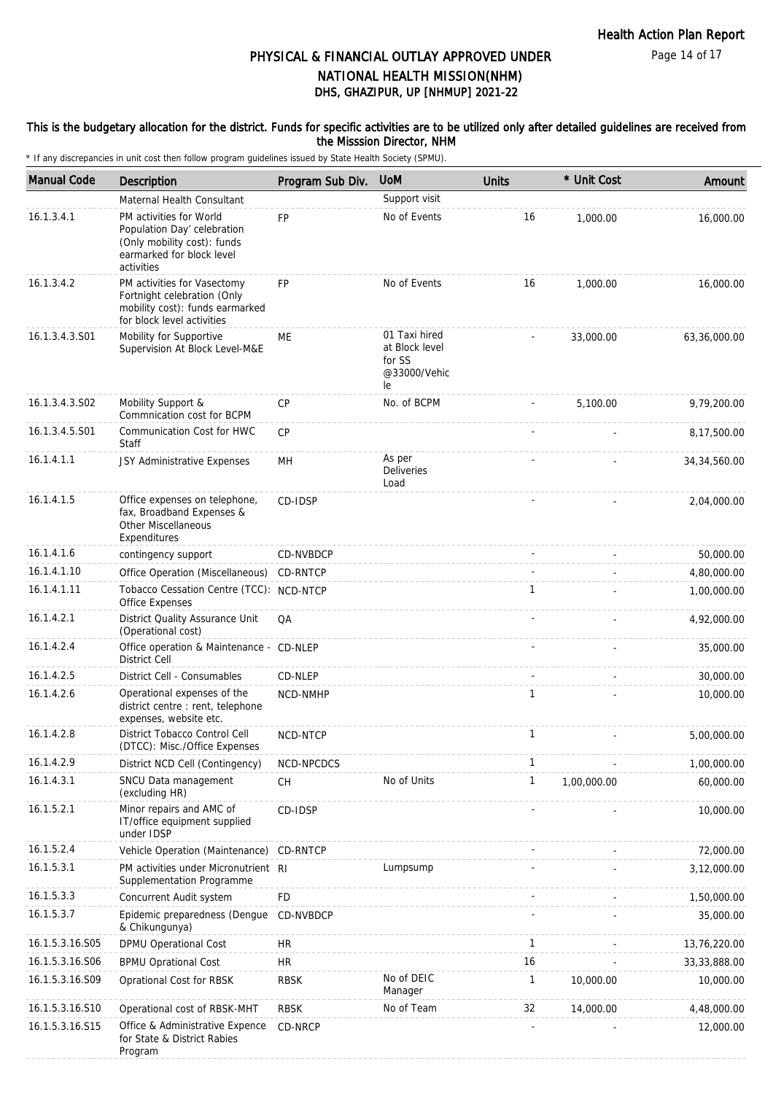Page 14 of 17

# DHS, GHAZIPUR, UP [NHMUP] 2021-22 PHYSICAL & FINANCIAL OUTLAY APPROVED UNDER NATIONAL HEALTH MISSION(NHM)

### This is the budgetary allocation for the district. Funds for specific activities are to be utilized only after detailed guidelines are received from the Misssion Director, NHM

| <b>Manual Code</b> | <b>Description</b>                                                                                                               | Program Sub Div. | <b>UoM</b>                                                      | <b>Units</b> | * Unit Cost | Amount         |
|--------------------|----------------------------------------------------------------------------------------------------------------------------------|------------------|-----------------------------------------------------------------|--------------|-------------|----------------|
|                    | Maternal Health Consultant                                                                                                       |                  | Support visit                                                   |              |             |                |
| 16.1.3.4.1         | PM activities for World<br>Population Day' celebration<br>(Only mobility cost): funds<br>earmarked for block level<br>activities | <b>FP</b>        | No of Events                                                    | 16           | 1,000.00    | 16,000.00      |
| 16.1.3.4.2         | PM activities for Vasectomy<br>Fortnight celebration (Only<br>mobility cost): funds earmarked<br>for block level activities      | <b>FP</b>        | No of Events                                                    | 16           | 1,000.00    | 16,000.00      |
| 16.1.3.4.3.S01     | Mobility for Supportive<br>Supervision At Block Level-M&E                                                                        | ME               | 01 Taxi hired<br>at Block level<br>for SS<br>@33000/Vehic<br>le |              | 33,000.00   | 63,36,000.00   |
| 16.1.3.4.3.S02     | Mobility Support &<br>Commnication cost for BCPM                                                                                 | CP               | No. of BCPM                                                     |              | 5,100.00    | 9,79,200.00    |
| 16.1.3.4.5.S01     | Communication Cost for HWC<br>Staff                                                                                              | CP               |                                                                 |              |             | 8,17,500.00    |
| 16.1.4.1.1         | JSY Administrative Expenses                                                                                                      | MН               | As per<br>Deliveries<br>Load                                    |              |             | 34, 34, 560.00 |
| 16.1.4.1.5         | Office expenses on telephone,<br>fax, Broadband Expenses &<br>Other Miscellaneous<br>Expenditures                                | CD-IDSP          |                                                                 |              |             | 2,04,000.00    |
| 16.1.4.1.6         | contingency support                                                                                                              | CD-NVBDCP        |                                                                 |              |             | 50,000.00      |
| 16.1.4.1.10        | Office Operation (Miscellaneous)                                                                                                 | CD-RNTCP         |                                                                 |              |             | 4,80,000.00    |
| 16.1.4.1.11        | Tobacco Cessation Centre (TCC): NCD-NTCP<br>Office Expenses                                                                      |                  |                                                                 | 1            |             | 1,00,000.00    |
| 16.1.4.2.1         | District Quality Assurance Unit<br>(Operational cost)                                                                            | QA               |                                                                 |              |             | 4,92,000.00    |
| 16.1.4.2.4         | Office operation & Maintenance - CD-NLEP<br><b>District Cell</b>                                                                 |                  |                                                                 |              |             | 35,000.00      |
| 16.1.4.2.5         | District Cell - Consumables                                                                                                      | CD-NLEP          |                                                                 |              |             | 30,000.00      |
| 16.1.4.2.6         | Operational expenses of the<br>district centre : rent, telephone<br>expenses, website etc.                                       | NCD-NMHP         |                                                                 | 1            |             | 10,000.00      |
| 16.1.4.2.8         | District Tobacco Control Cell<br>(DTCC): Misc./Office Expenses                                                                   | NCD-NTCP         |                                                                 | 1            |             | 5,00,000.00    |
| 16.1.4.2.9         | District NCD Cell (Contingency)                                                                                                  | NCD-NPCDCS       |                                                                 | 1            |             | 1,00,000.00    |
| 16.1.4.3.1         | SNCU Data management<br>(excluding HR)                                                                                           | CH               | No of Units                                                     | 1            | 1,00,000.00 | 60,000.00      |
| 16.1.5.2.1         | Minor repairs and AMC of<br>IT/office equipment supplied<br>under IDSP                                                           | CD-IDSP          |                                                                 |              |             | 10,000.00      |
| 16.1.5.2.4         | Vehicle Operation (Maintenance)                                                                                                  | CD-RNTCP         |                                                                 |              |             | 72,000.00      |
| 16.1.5.3.1         | PM activities under Micronutrient RI<br>Supplementation Programme                                                                |                  | Lumpsump                                                        |              |             | 3,12,000.00    |
| 16.1.5.3.3         | Concurrent Audit system                                                                                                          | FD               |                                                                 |              |             | 1,50,000.00    |
| 16.1.5.3.7         | Epidemic preparedness (Dengue<br>& Chikungunya)                                                                                  | CD-NVBDCP        |                                                                 |              |             | 35,000.00      |
| 16.1.5.3.16.S05    | DPMU Operational Cost                                                                                                            | HR               |                                                                 | 1            |             | 13,76,220.00   |
| 16.1.5.3.16.S06    | <b>BPMU Oprational Cost</b>                                                                                                      | <b>HR</b>        |                                                                 | 16           |             | 33, 33, 888.00 |
| 16.1.5.3.16.S09    | Oprational Cost for RBSK                                                                                                         | <b>RBSK</b>      | No of DEIC<br>Manager                                           | 1            | 10,000.00   | 10,000.00      |
| 16.1.5.3.16.S10    | Operational cost of RBSK-MHT                                                                                                     | <b>RBSK</b>      | No of Team                                                      | 32           | 14,000.00   | 4,48,000.00    |
| 16.1.5.3.16.S15    | Office & Administrative Expence<br>for State & District Rabies<br>Program                                                        | CD-NRCP          |                                                                 |              |             | 12,000.00      |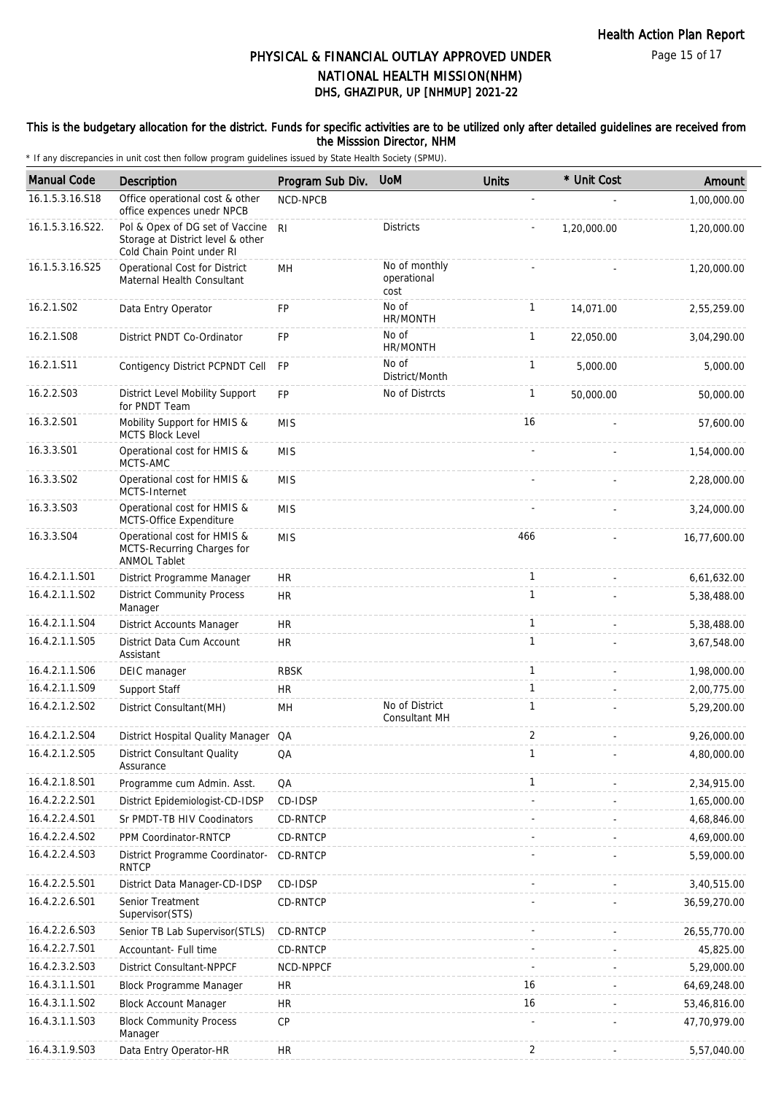### This is the budgetary allocation for the district. Funds for specific activities are to be utilized only after detailed guidelines are received from the Misssion Director, NHM

| <b>Manual Code</b> | Description                                                                                       | Program Sub Div. | <b>UoM</b>                           | <b>Units</b>   | * Unit Cost | Amount       |
|--------------------|---------------------------------------------------------------------------------------------------|------------------|--------------------------------------|----------------|-------------|--------------|
| 16.1.5.3.16.S18    | Office operational cost & other<br>office expences unedr NPCB                                     | NCD-NPCB         |                                      |                |             | 1,00,000.00  |
| 16.1.5.3.16.S22.   | Pol & Opex of DG set of Vaccine<br>Storage at District level & other<br>Cold Chain Point under RI | R <sub>l</sub>   | <b>Districts</b>                     |                | 1,20,000.00 | 1,20,000.00  |
| 16.1.5.3.16.S25    | Operational Cost for District<br>Maternal Health Consultant                                       | MH               | No of monthly<br>operational<br>cost |                |             | 1,20,000.00  |
| 16.2.1.S02         | Data Entry Operator                                                                               | FP               | No of<br>HR/MONTH                    | $\mathbf{1}$   | 14,071.00   | 2,55,259.00  |
| 16.2.1.S08         | District PNDT Co-Ordinator                                                                        | <b>FP</b>        | No of<br>HR/MONTH                    | $\mathbf{1}$   | 22,050.00   | 3,04,290.00  |
| 16.2.1.S11         | Contigency District PCPNDT Cell                                                                   | <b>FP</b>        | No of<br>District/Month              | 1              | 5,000.00    | 5,000.00     |
| 16.2.2.S03         | District Level Mobility Support<br>for PNDT Team                                                  | <b>FP</b>        | No of Distrcts                       | $\mathbf{1}$   | 50,000.00   | 50,000.00    |
| 16.3.2.S01         | Mobility Support for HMIS &<br><b>MCTS Block Level</b>                                            | <b>MIS</b>       |                                      | 16             |             | 57,600.00    |
| 16.3.3.S01         | Operational cost for HMIS &<br>MCTS-AMC                                                           | <b>MIS</b>       |                                      |                |             | 1,54,000.00  |
| 16.3.3.S02         | Operational cost for HMIS &<br>MCTS-Internet                                                      | <b>MIS</b>       |                                      |                |             | 2,28,000.00  |
| 16.3.3.S03         | Operational cost for HMIS &<br>MCTS-Office Expenditure                                            | <b>MIS</b>       |                                      |                |             | 3,24,000.00  |
| 16.3.3.S04         | Operational cost for HMIS &<br>MCTS-Recurring Charges for<br><b>ANMOL Tablet</b>                  | <b>MIS</b>       |                                      | 466            |             | 16,77,600.00 |
| 16.4.2.1.1.S01     | District Programme Manager                                                                        | <b>HR</b>        |                                      | $\mathbf{1}$   |             | 6,61,632.00  |
| 16.4.2.1.1.S02     | <b>District Community Process</b><br>Manager                                                      | <b>HR</b>        |                                      | $\mathbf{1}$   |             | 5,38,488.00  |
| 16.4.2.1.1.S04     | District Accounts Manager                                                                         | HR               |                                      | $\mathbf{1}$   |             | 5,38,488.00  |
| 16.4.2.1.1.S05     | District Data Cum Account<br>Assistant                                                            | <b>HR</b>        |                                      | $\mathbf{1}$   |             | 3,67,548.00  |
| 16.4.2.1.1.S06     | DEIC manager                                                                                      | <b>RBSK</b>      |                                      | $\mathbf{1}$   |             | 1,98,000.00  |
| 16.4.2.1.1.S09     | Support Staff                                                                                     | <b>HR</b>        |                                      | $\mathbf{1}$   |             | 2,00,775.00  |
| 16.4.2.1.2.502     | District Consultant(MH)                                                                           | MH               | No of District<br>Consultant MH      | $\mathbf{1}$   |             | 5,29,200.00  |
| 16.4.2.1.2.S04     | District Hospital Quality Manager QA                                                              |                  |                                      | $\overline{2}$ |             | 9,26,000.00  |
| 16.4.2.1.2.S05     | <b>District Consultant Quality</b><br>Assurance                                                   | QA               |                                      | $\mathbf{1}$   |             | 4,80,000.00  |
| 16.4.2.1.8.S01     | Programme cum Admin. Asst.                                                                        | QA               |                                      | 1              |             | 2,34,915.00  |
| 16.4.2.2.2.S01     | District Epidemiologist-CD-IDSP                                                                   | CD-IDSP          |                                      |                |             | 1,65,000.00  |
| 16.4.2.2.4.S01     | Sr PMDT-TB HIV Coodinators                                                                        | CD-RNTCP         |                                      |                |             | 4,68,846.00  |
| 16.4.2.2.4.S02     | PPM Coordinator-RNTCP                                                                             | CD-RNTCP         |                                      |                |             | 4,69,000.00  |
| 16.4.2.2.4.S03     | District Programme Coordinator-<br><b>RNTCP</b>                                                   | <b>CD-RNTCP</b>  |                                      |                |             | 5,59,000.00  |
| 16.4.2.2.5.S01     | District Data Manager-CD-IDSP                                                                     | CD-IDSP          |                                      |                |             | 3,40,515.00  |
| 16.4.2.2.6.S01     | Senior Treatment<br>Supervisor(STS)                                                               | CD-RNTCP         |                                      |                |             | 36,59,270.00 |
| 16.4.2.2.6.S03     | Senior TB Lab Supervisor (STLS)                                                                   | CD-RNTCP         |                                      |                |             | 26,55,770.00 |
| 16.4.2.2.7.S01     | Accountant- Full time                                                                             | CD-RNTCP         |                                      |                |             | 45,825.00    |
| 16.4.2.3.2.S03     | <b>District Consultant-NPPCF</b>                                                                  | NCD-NPPCF        |                                      |                |             | 5,29,000.00  |
| 16.4.3.1.1.S01     | Block Programme Manager                                                                           | <b>HR</b>        |                                      | 16             |             | 64,69,248.00 |
| 16.4.3.1.1.S02     | <b>Block Account Manager</b>                                                                      | <b>HR</b>        |                                      | 16             |             | 53,46,816.00 |
| 16.4.3.1.1.S03     | <b>Block Community Process</b><br>Manager                                                         | СP               |                                      |                |             | 47,70,979.00 |
| 16.4.3.1.9.S03     | Data Entry Operator-HR                                                                            | <b>HR</b>        |                                      | 2              |             | 5,57,040.00  |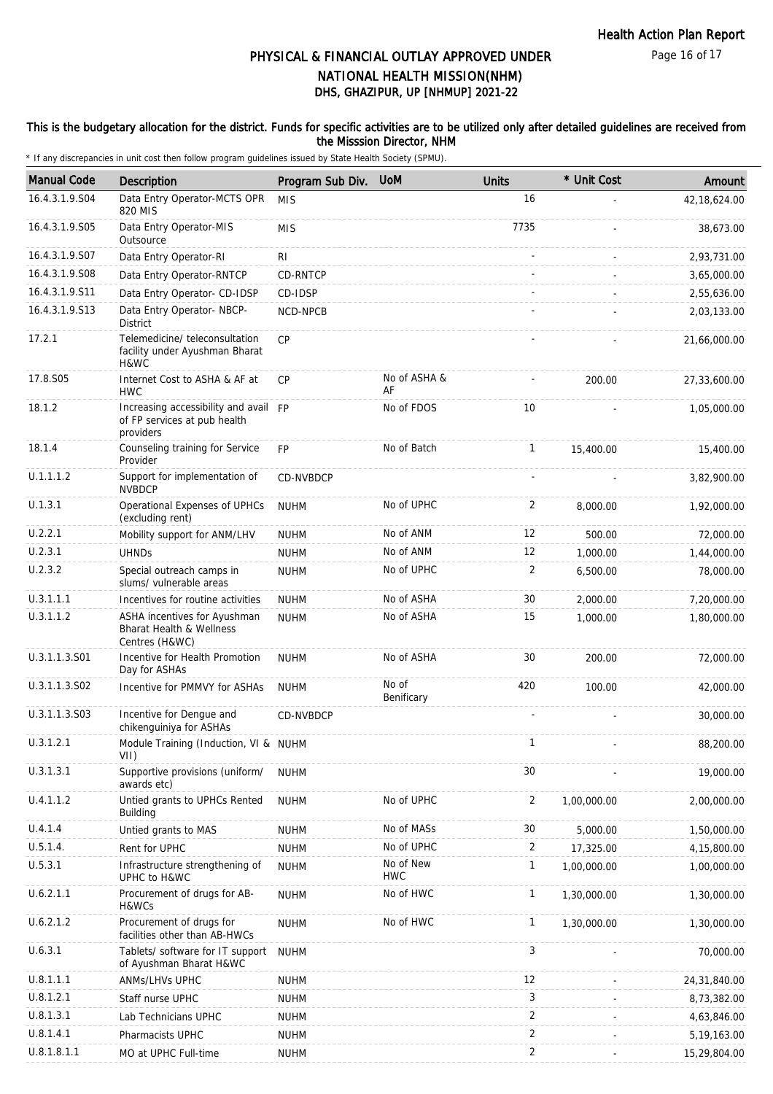### This is the budgetary allocation for the district. Funds for specific activities are to be utilized only after detailed guidelines are received from the Misssion Director, NHM

| <b>Manual Code</b> | Description                                                                           | Program Sub Div. | <b>UoM</b>              | <b>Units</b>   | * Unit Cost | Amount       |
|--------------------|---------------------------------------------------------------------------------------|------------------|-------------------------|----------------|-------------|--------------|
| 16.4.3.1.9.S04     | Data Entry Operator-MCTS OPR<br>820 MIS                                               | <b>MIS</b>       |                         | 16             |             | 42,18,624.00 |
| 16.4.3.1.9.S05     | Data Entry Operator-MIS<br>Outsource                                                  | <b>MIS</b>       |                         | 7735           |             | 38,673.00    |
| 16.4.3.1.9.S07     | Data Entry Operator-RI                                                                | RI.              |                         |                |             | 2,93,731.00  |
| 16.4.3.1.9.S08     | Data Entry Operator-RNTCP                                                             | CD-RNTCP         |                         |                |             | 3,65,000.00  |
| 16.4.3.1.9.S11     | Data Entry Operator- CD-IDSP                                                          | CD-IDSP          |                         |                |             | 2,55,636.00  |
| 16.4.3.1.9.S13     | Data Entry Operator- NBCP-<br><b>District</b>                                         | NCD-NPCB         |                         |                |             | 2,03,133.00  |
| 17.2.1             | Telemedicine/teleconsultation<br>facility under Ayushman Bharat<br>H&WC               | CP               |                         |                |             | 21,66,000.00 |
| 17.8.S05           | Internet Cost to ASHA & AF at<br><b>HWC</b>                                           | CP               | No of ASHA &<br>AF      |                | 200.00      | 27,33,600.00 |
| 18.1.2             | Increasing accessibility and avail FP<br>of FP services at pub health<br>providers    |                  | No of FDOS              | 10             |             | 1,05,000.00  |
| 18.1.4             | Counseling training for Service<br>Provider                                           | <b>FP</b>        | No of Batch             | $\mathbf{1}$   | 15,400.00   | 15,400.00    |
| U.1.1.1.2          | Support for implementation of<br><b>NVBDCP</b>                                        | CD-NVBDCP        |                         |                |             | 3,82,900.00  |
| U.1.3.1            | Operational Expenses of UPHCs<br>(excluding rent)                                     | <b>NUHM</b>      | No of UPHC              | 2              | 8,000.00    | 1,92,000.00  |
| U.2.2.1            | Mobility support for ANM/LHV                                                          | <b>NUHM</b>      | No of ANM               | 12             | 500.00      | 72,000.00    |
| U.2.3.1            | <b>UHND<sub>S</sub></b>                                                               | <b>NUHM</b>      | No of ANM               | 12             | 1,000.00    | 1,44,000.00  |
| U.2.3.2            | Special outreach camps in<br>slums/ vulnerable areas                                  | <b>NUHM</b>      | No of UPHC              | 2              | 6,500.00    | 78,000.00    |
| U.3.1.1.1          | Incentives for routine activities                                                     | <b>NUHM</b>      | No of ASHA              | 30             | 2,000.00    | 7,20,000.00  |
| U.3.1.1.2          | ASHA incentives for Ayushman<br><b>Bharat Health &amp; Wellness</b><br>Centres (H&WC) | <b>NUHM</b>      | No of ASHA              | 15             | 1,000.00    | 1,80,000.00  |
| U.3.1.1.3.S01      | Incentive for Health Promotion<br>Day for ASHAs                                       | <b>NUHM</b>      | No of ASHA              | 30             | 200.00      | 72,000.00    |
| U.3.1.1.3.S02      | Incentive for PMMVY for ASHAs                                                         | <b>NUHM</b>      | No of<br>Benificary     | 420            | 100.00      | 42,000.00    |
| U.3.1.1.3.S03      | Incentive for Dengue and<br>chikenguiniya for ASHAs                                   | CD-NVBDCP        |                         |                |             | 30,000.00    |
| U.3.1.2.1          | Module Training (Induction, VI & NUHM<br>VII)                                         |                  |                         | $\mathbf{1}$   |             | 88,200.00    |
| U.3.1.3.1          | Supportive provisions (uniform/<br>awards etc)                                        | <b>NUHM</b>      |                         | 30             |             | 19,000.00    |
| U.4.1.1.2          | Untied grants to UPHCs Rented<br><b>Building</b>                                      | <b>NUHM</b>      | No of UPHC              | $\overline{c}$ | 1,00,000.00 | 2,00,000.00  |
| U.4.1.4            | Untied grants to MAS                                                                  | <b>NUHM</b>      | No of MASs              | 30             | 5,000.00    | 1,50,000.00  |
| U.5.1.4.           | Rent for UPHC                                                                         | <b>NUHM</b>      | No of UPHC              | 2              | 17,325.00   | 4,15,800.00  |
| U.5.3.1            | Infrastructure strengthening of<br>UPHC to H&WC                                       | <b>NUHM</b>      | No of New<br><b>HWC</b> | $\mathbf{1}$   | 1,00,000.00 | 1,00,000.00  |
| U.6.2.1.1          | Procurement of drugs for AB-<br>H&WCs                                                 | <b>NUHM</b>      | No of HWC               | $\mathbf{1}$   | 1,30,000.00 | 1,30,000.00  |
| U.6.2.1.2          | Procurement of drugs for<br>facilities other than AB-HWCs                             | <b>NUHM</b>      | No of HWC               | $\mathbf{1}$   | 1,30,000.00 | 1,30,000.00  |
| U.6.3.1            | Tablets/ software for IT support<br>of Ayushman Bharat H&WC                           | <b>NUHM</b>      |                         | 3              |             | 70,000.00    |
| U.8.1.1.1          | ANMs/LHVs UPHC                                                                        | <b>NUHM</b>      |                         | 12             |             | 24,31,840.00 |
| U.8.1.2.1          | Staff nurse UPHC                                                                      | <b>NUHM</b>      |                         | 3              |             | 8,73,382.00  |
| U.8.1.3.1          | Lab Technicians UPHC                                                                  | <b>NUHM</b>      |                         | $\overline{2}$ |             | 4,63,846.00  |
| U.8.1.4.1          | Pharmacists UPHC                                                                      | <b>NUHM</b>      |                         | $\overline{2}$ |             | 5,19,163.00  |
| U.8.1.8.1.1        | MO at UPHC Full-time                                                                  | <b>NUHM</b>      |                         | $\overline{2}$ |             | 15,29,804.00 |